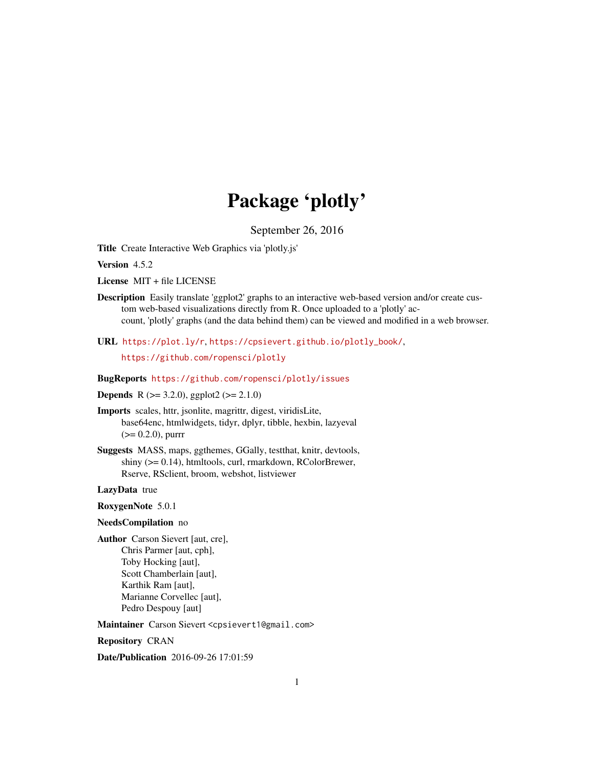# Package 'plotly'

September 26, 2016

<span id="page-0-0"></span>Title Create Interactive Web Graphics via 'plotly.js'

Version 4.5.2

License MIT + file LICENSE

Description Easily translate 'ggplot2' graphs to an interactive web-based version and/or create custom web-based visualizations directly from R. Once uploaded to a 'plotly' account, 'plotly' graphs (and the data behind them) can be viewed and modified in a web browser.

URL <https://plot.ly/r>, [https://cpsievert.github.io/plotly\\_book/](https://cpsievert.github.io/plotly_book/),

<https://github.com/ropensci/plotly>

BugReports <https://github.com/ropensci/plotly/issues>

**Depends** R ( $>= 3.2.0$ ), ggplot2 ( $>= 2.1.0$ )

Imports scales, httr, jsonlite, magrittr, digest, viridisLite, base64enc, htmlwidgets, tidyr, dplyr, tibble, hexbin, lazyeval  $(>= 0.2.0)$ , purrr

Suggests MASS, maps, ggthemes, GGally, testthat, knitr, devtools, shiny (>= 0.14), htmltools, curl, rmarkdown, RColorBrewer, Rserve, RSclient, broom, webshot, listviewer

#### LazyData true

RoxygenNote 5.0.1

#### NeedsCompilation no

Author Carson Sievert [aut, cre], Chris Parmer [aut, cph], Toby Hocking [aut], Scott Chamberlain [aut], Karthik Ram [aut], Marianne Corvellec [aut], Pedro Despouy [aut]

Maintainer Carson Sievert <cpsievert1@gmail.com>

Repository CRAN

Date/Publication 2016-09-26 17:01:59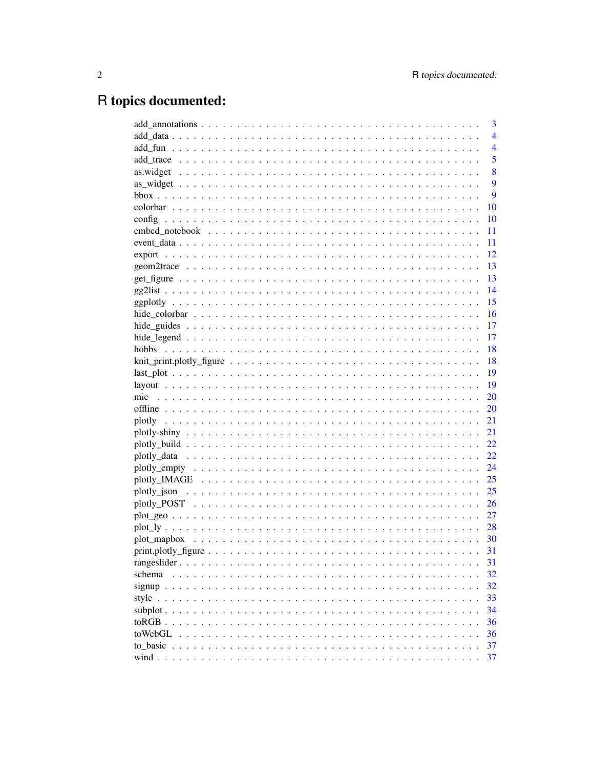# R topics documented:

|                                    | 3              |
|------------------------------------|----------------|
|                                    | $\overline{4}$ |
|                                    | $\overline{4}$ |
|                                    | 5              |
|                                    | 8              |
|                                    | 9              |
|                                    | 9              |
|                                    | 10             |
|                                    | 10             |
|                                    | 11             |
|                                    | 11             |
|                                    | 12             |
|                                    | 13             |
|                                    | <sup>13</sup>  |
|                                    | 14             |
|                                    | 15             |
|                                    | 16             |
|                                    | 17             |
|                                    | 17             |
|                                    | 18             |
|                                    | 18             |
|                                    | 19             |
|                                    | 19             |
|                                    | 20             |
|                                    | 20             |
|                                    | 21             |
|                                    | 21             |
|                                    | 22             |
|                                    | 22             |
|                                    | 24             |
|                                    | 25             |
|                                    | 25             |
|                                    | 26             |
|                                    | 27             |
|                                    | 28             |
|                                    |                |
|                                    | 31             |
|                                    | 31             |
| schema<br>$\mathbf{r}$<br>$\cdots$ | 32             |
|                                    | 32             |
|                                    | 33             |
|                                    | 34             |
| to $RGB$ $\ldots$                  | 36             |
| toWebGL                            | 36             |
| to_basic                           | 37             |
|                                    | 37             |
|                                    |                |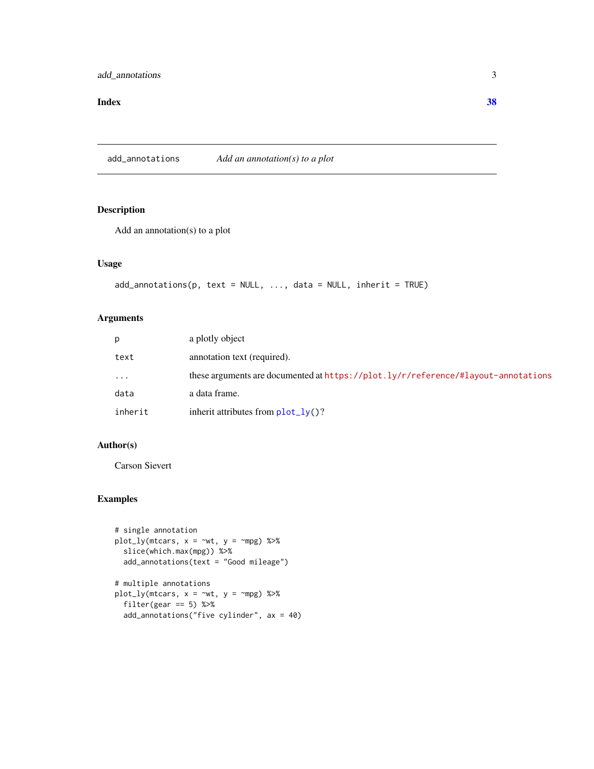#### <span id="page-2-0"></span>**Index** [38](#page-37-0)

add\_annotations *Add an annotation(s) to a plot*

# Description

Add an annotation(s) to a plot

#### Usage

```
add\_annotations(p, text = NULL, ..., data = NULL, inherit = TRUE)
```
#### Arguments

| D.      | a plotly object                                                                   |
|---------|-----------------------------------------------------------------------------------|
| text    | annotation text (required).                                                       |
| .       | these arguments are documented at https://plot.ly/r/reference/#layout-annotations |
| data    | a data frame.                                                                     |
| inherit | inherit attributes from $plot_l\gamma()$ ?                                        |

#### Author(s)

Carson Sievert

#### Examples

```
# single annotation
plot_ly(mtcars, x = \sim wt, y = \sim mpg) %>%
  slice(which.max(mpg)) %>%
  add_annotations(text = "Good mileage")
# multiple annotations
plot_{ly}(mtcars, x = -wt, y = -mpg) %>%
  filter(gear == 5) %>%
  add_annotations("five cylinder", ax = 40)
```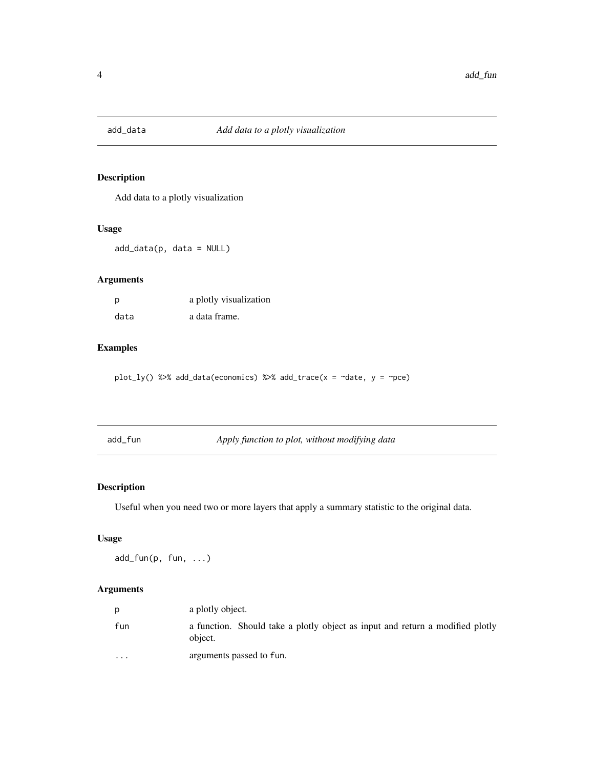<span id="page-3-0"></span>

Add data to a plotly visualization

#### Usage

add\_data(p, data = NULL)

#### Arguments

| p    | a plotly visualization |
|------|------------------------|
| data | a data frame.          |

# Examples

plot\_ly() %>% add\_data(economics) %>% add\_trace(x = ~date, y = ~pce)

| add_fun | Apply function to plot, without modifying data |
|---------|------------------------------------------------|
|---------|------------------------------------------------|

# Description

Useful when you need two or more layers that apply a summary statistic to the original data.

# Usage

add\_fun(p, fun, ...)

|                      | a plotly object.                                                                         |
|----------------------|------------------------------------------------------------------------------------------|
| fun                  | a function. Should take a plotly object as input and return a modified plotly<br>object. |
| $\ddot{\phantom{0}}$ | arguments passed to fun.                                                                 |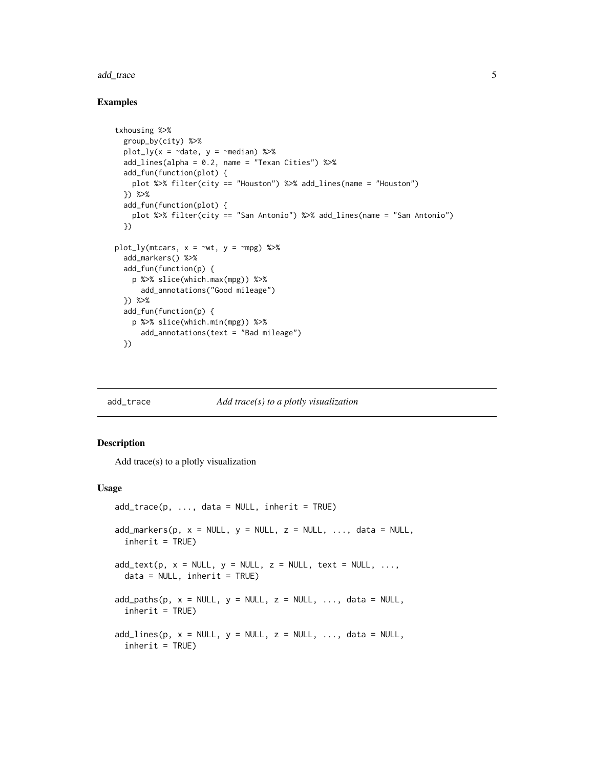#### <span id="page-4-0"></span>add\_trace 5

#### Examples

```
txhousing %>%
 group_by(city) %>%
 plot_ly(x = \negdate, y = \negmedian) %>%
 add_lines(alpha = 0.2, name = "Texan Cities") %>%
 add_fun(function(plot) {
   plot %>% filter(city == "Houston") %>% add_lines(name = "Houston")
 }) %>%
 add_fun(function(plot) {
   plot %>% filter(city == "San Antonio") %>% add_lines(name = "San Antonio")
 })
plot_ly(mtcars, x = \sim wt, y = \sim mpg) %>%
 add_markers() %>%
 add_fun(function(p) {
   p %>% slice(which.max(mpg)) %>%
      add_annotations("Good mileage")
 }) %>%
 add_fun(function(p) {
   p %>% slice(which.min(mpg)) %>%
      add_annotations(text = "Bad mileage")
 })
```
<span id="page-4-2"></span>

#### add\_trace *Add trace(s) to a plotly visualization*

#### <span id="page-4-1"></span>Description

Add trace(s) to a plotly visualization

#### Usage

```
add\_trace(p, ..., data = NULL, inherit = TRUE)add\_marks(p, x = NULL, y = NULL, z = NULL, ..., data = NULL,inherit = TRUE)
add\_text(p, x = NULL, y = NULL, z = NULL, text = NULL, ...data = NULL, inherit = TRUE)
add\_paths(p, x = NULL, y = NULL, z = NULL, ..., data = NULL,inherit = TRUE)
add\_lines(p, x = NULL, y = NULL, z = NULL, ..., data = NULL,inherit = TRUE)
```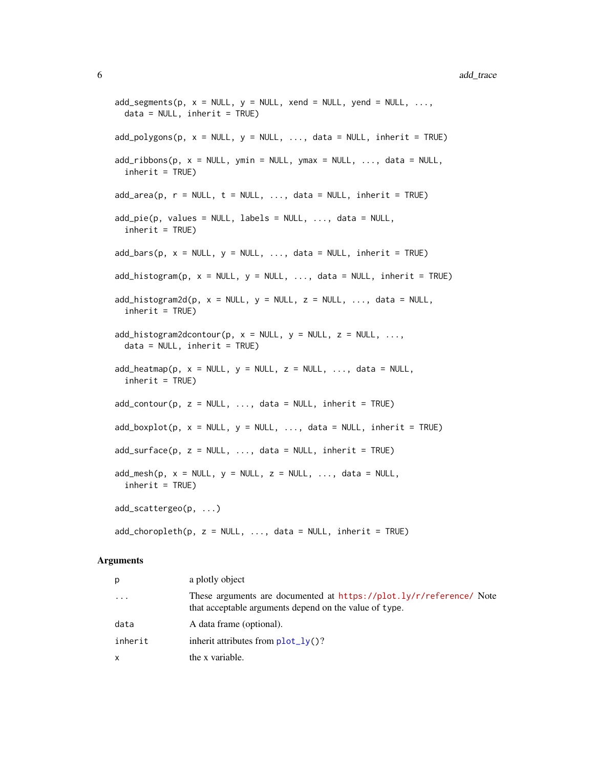```
add\_segments(p, x = NULL, y = NULL, xend = NULL, yend = NULL, ...data = NULL, inherit = TRUE)
add\_polygons(p, x = NULL, y = NULL, ..., data = NULL, inherit = TRUE)add\_ribbons(p, x = NULL, ymin = NULL, ymax = NULL, ..., data = NULL,inherit = TRUE)
add\_area(p, r = NULL, t = NULL, ..., data = NULL, inherit = TRUE)add\_pie(p, values = NULL, labels = NULL, ..., data = NULL,inherit = TRUE)
add\_bars(p, x = NULL, y = NULL, ..., data = NULL, inherit = TRUE)add\_histogram(p, x = NULL, y = NULL, ..., data = NULL, inherit = TRUE)add\_histogram2d(p, x = NULL, y = NULL, z = NULL, ..., data = NULL,inherit = TRUE)
add_histogram2dcontour(p, x = NULL, y = NULL, z = NULL, ...,
 data = NULL, inherit = TRUE)
add\_heatmap(p, x = NULL, y = NULL, z = NULL, ..., data = NULL,inherit = TRUE)
add\_contour(p, z = NULL, ..., data = NULL, inherit = TRUE)add\_boxplot(p, x = NULL, y = NULL, ..., data = NULL, inherit = TRUE)add\_surface(p, z = NULL, ..., data = NULL, inherit = TRUE)add\_mesh(p, x = NULL, y = NULL, z = NULL, ..., data = NULL,inherit = TRUE)
add_scattergeo(p, ...)
add\_choropleth(p, z = NULL, ..., data = NULL, inherit = TRUE)
```

| p        | a plotly object                                                                                                               |
|----------|-------------------------------------------------------------------------------------------------------------------------------|
| $\ddots$ | These arguments are documented at https://plot.ly/r/reference/ Note<br>that acceptable arguments depend on the value of type. |
| data     | A data frame (optional).                                                                                                      |
| inherit  | inherit attributes from $plot_l\gamma()$ ?                                                                                    |
| x        | the x variable.                                                                                                               |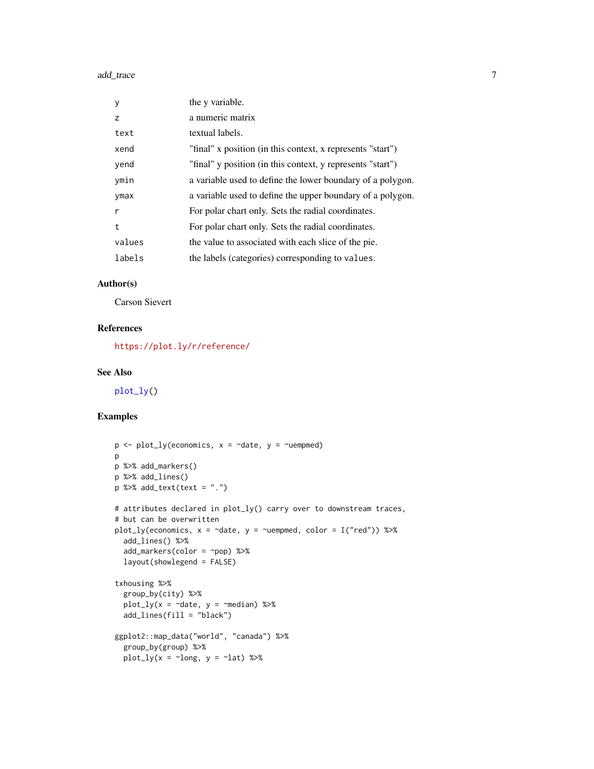<span id="page-6-0"></span>

| У      | the y variable.                                            |
|--------|------------------------------------------------------------|
| z      | a numeric matrix                                           |
| text   | textual labels.                                            |
| xend   | "final" x position (in this context, x represents "start") |
| yend   | "final" y position (in this context, y represents "start") |
| ymin   | a variable used to define the lower boundary of a polygon. |
| ymax   | a variable used to define the upper boundary of a polygon. |
| r      | For polar chart only. Sets the radial coordinates.         |
| t      | For polar chart only. Sets the radial coordinates.         |
| values | the value to associated with each slice of the pie.        |
| labels | the labels (categories) corresponding to values.           |
|        |                                                            |

#### Author(s)

Carson Sievert

# References

<https://plot.ly/r/reference/>

#### See Also

[plot\\_ly\(](#page-27-1))

### Examples

```
p \leftarrow plot_{ly}(\text{economics}, x = \text{`date}, y = \text{`uempmed})p
p %>% add_markers()
p %>% add_lines()
p %>% add_text(text = ".")
# attributes declared in plot_ly() carry over to downstream traces,
# but can be overwritten
plot_ly(economics, x = \text{`date}, y = \text{`uempmed}, color = I("red")) %>%
  add_lines() %>%
  add_markers(color = ~pop) %>%
  layout(showlegend = FALSE)
txhousing %>%
  group_by(city) %>%
  plot_ly(x = \negdate, y = \negmedian) %>%
  add_lines(fill = "black")
ggplot2::map_data("world", "canada") %>%
  group_by(group) %>%
  plot_ly(x = \simlong, y = \simlat) %>%
```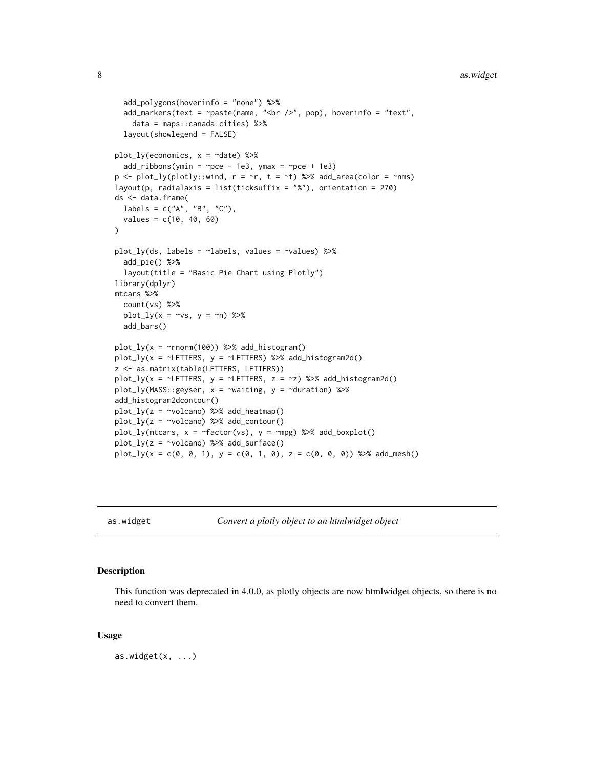#### <span id="page-7-0"></span>8 associated as a set of the set of the set of the set of the set of the set of the set of the set of the set of the set of the set of the set of the set of the set of the set of the set of the set of the set of the set of

```
add_polygons(hoverinfo = "none") %>%
  add_markers(text = \gammapaste(name, "<br />>', pop), hoverinfo = "text",
    data = maps::canada.cities) %>%
  layout(showlegend = FALSE)
plot_{1}y(economics, x = \text{ }^{\sim}date) %>%
  add\_ribbons(ymin = ~pce - 1e3, ymax = ~pce + 1e3)p \leftarrow plot_{ly(plotly::wind, r = \tau, t = \tau)} %>% add_area(color = ~nms)
layout(p, radialaxis = list(ticksuffix = "%"), orientation = 270)
ds <- data.frame(
  labels = c("A", "B", "C"),values = c(10, 40, 60)
)
plot_ly(ds, labels = ~labels, values = ~values) %>%
  add_pie() %>%
  layout(title = "Basic Pie Chart using Plotly")
library(dplyr)
mtcars %>%
  count(vs) %>%
  plot_{1}y(x = \gamma vs, y = \gamma n) %>%
  add_bars()
plot_{ly}(x = \text{Trnorm}(100)) %>% add_histogram()
plot_ly(x = ~LETTERS, y = ~LETTERS) %>% add_histogram2d()
z <- as.matrix(table(LETTERS, LETTERS))
plot_ly(x = \simLETTERS, y = \simLETTERS, z = \simz) %>% add_histogram2d()
plot_ly(MASS::geyser, x = ~waiting, y = ~duration) %>%
add_histogram2dcontour()
plot_ly(z = ~volcano) %>% add_heatmap()
plot_{ly}(z = \simvolcano) %>% add_contour()
plot_{ly}(mtcars, x = ~factor(vs), y = ~mpg) %>% add_boxplot()
plot_{ly}(z = \simvolcano) %>% add_surface()
plot_{1}y(x = c(0, 0, 1), y = c(0, 1, 0), z = c(0, 0, 0)) %>% add_mesh()
```
as.widget *Convert a plotly object to an htmlwidget object*

#### Description

This function was deprecated in 4.0.0, as plotly objects are now htmlwidget objects, so there is no need to convert them.

#### Usage

 $as.widget(x, ...)$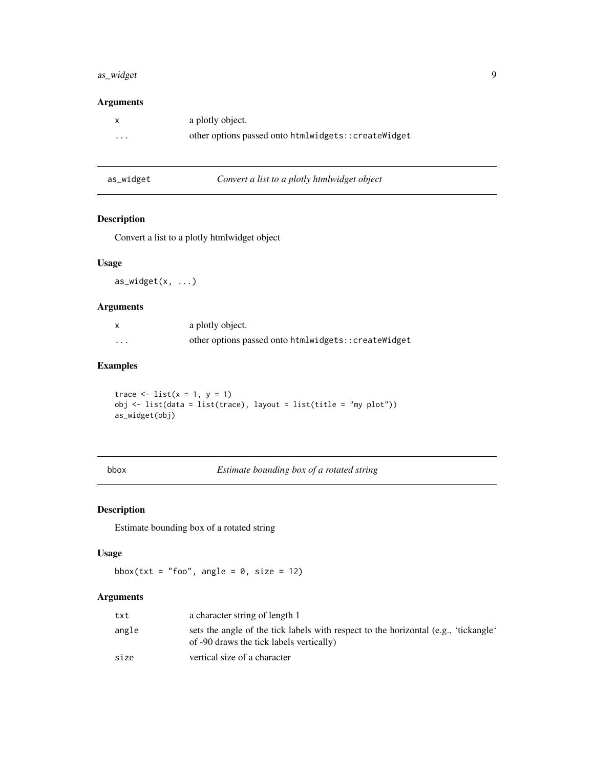# <span id="page-8-0"></span>as\_widget 9

# Arguments

|          | a plotly object.                                    |
|----------|-----------------------------------------------------|
| $\cdots$ | other options passed onto htmlwidgets::createWidget |

| as_widget | Convert a list to a plotly htmlwidget object |
|-----------|----------------------------------------------|
|-----------|----------------------------------------------|

# Description

Convert a list to a plotly htmlwidget object

#### Usage

as\_widget(x, ...)

#### Arguments

|   | a plotly object.                                    |
|---|-----------------------------------------------------|
| . | other options passed onto htmlwidgets::createWidget |

#### Examples

trace  $\leftarrow$  list( $x = 1$ ,  $y = 1$ ) obj <- list(data = list(trace), layout = list(title = "my plot")) as\_widget(obj)

bbox *Estimate bounding box of a rotated string*

# Description

Estimate bounding box of a rotated string

#### Usage

bbox(txt = "foo", angle =  $0$ , size = 12)

| txt   | a character string of length 1                                                                                                  |
|-------|---------------------------------------------------------------------------------------------------------------------------------|
| angle | sets the angle of the tick labels with respect to the horizontal (e.g., 'tickangle'<br>of -90 draws the tick labels vertically) |
| size  | vertical size of a character                                                                                                    |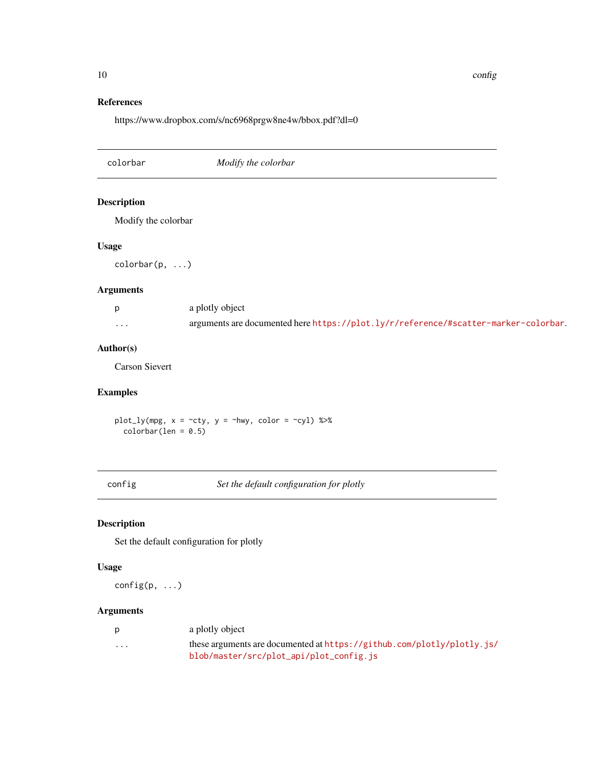10 configuration of the configuration of the configuration of the configuration of the configuration of the configuration of the configuration of the configuration of the configuration of the configuration of the configura

#### References

https://www.dropbox.com/s/nc6968prgw8ne4w/bbox.pdf?dl=0

colorbar *Modify the colorbar* Description Modify the colorbar Usage colorbar(p, ...) Arguments p a plotly object ... arguments are documented here <https://plot.ly/r/reference/#scatter-marker-colorbar>.

# Author(s)

Carson Sievert

#### Examples

plot\_ly(mpg,  $x = -cty$ ,  $y = -hwy$ , color =  $-cy1$ ) %>%  $colorbar(len = 0.5)$ 

config *Set the default configuration for plotly*

# Description

Set the default configuration for plotly

#### Usage

config(p, ...)

| D        | a plotly object                                                          |
|----------|--------------------------------------------------------------------------|
| $\cdots$ | these arguments are documented at $https://github.com/plotly/plotly.is/$ |
|          | blob/master/src/plot_api/plot_config.js                                  |

<span id="page-9-0"></span>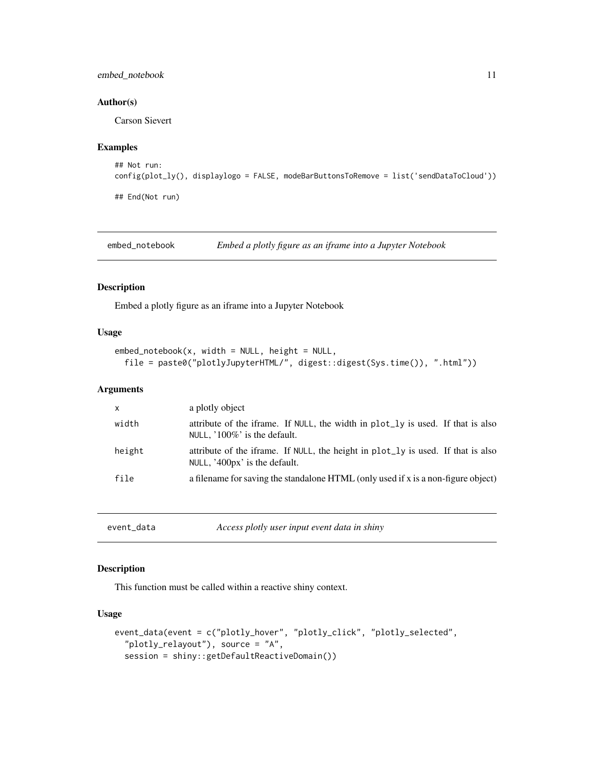#### <span id="page-10-0"></span>embed\_notebook 11

#### Author(s)

Carson Sievert

#### Examples

```
## Not run:
config(plot_ly(), displaylogo = FALSE, modeBarButtonsToRemove = list('sendDataToCloud'))
## End(Not run)
```
embed\_notebook *Embed a plotly figure as an iframe into a Jupyter Notebook*

#### Description

Embed a plotly figure as an iframe into a Jupyter Notebook

#### Usage

```
embed\_notebook(x, width = NULL, height = NULL,file = paste0("plotlyJupyterHTML/", digest::digest(Sys.time()), ".html"))
```
#### Arguments

| x      | a plotly object                                                                                                   |
|--------|-------------------------------------------------------------------------------------------------------------------|
| width  | attribute of the iframe. If NULL, the width in plot_ly is used. If that is also<br>NULL, $100\%$ is the default.  |
| height | attribute of the iframe. If NULL, the height in plot_ly is used. If that is also<br>NULL, '400px' is the default. |
| file   | a filename for saving the standalone HTML (only used if x is a non-figure object)                                 |

<span id="page-10-1"></span>

| event_data | Access plotly user input event data in shiny |
|------------|----------------------------------------------|
|------------|----------------------------------------------|

#### Description

This function must be called within a reactive shiny context.

#### Usage

```
event_data(event = c("plotly_hover", "plotly_click", "plotly_selected",
  "plotly_relayout"), source = "A",
  session = shiny::getDefaultReactiveDomain())
```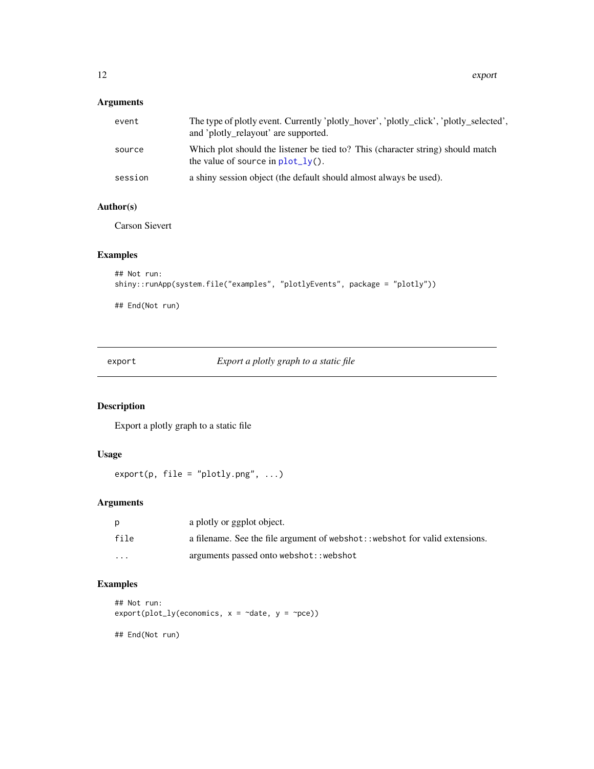# <span id="page-11-0"></span>Arguments

| event   | The type of plotly event. Currently 'plotly_hover', 'plotly_click', 'plotly_selected',<br>and 'plotly_relayout' are supported. |
|---------|--------------------------------------------------------------------------------------------------------------------------------|
| source  | Which plot should the listener be tied to? This (character string) should match<br>the value of source in $plot_l(y)$ .        |
| session | a shiny session object (the default should almost always be used).                                                             |

# Author(s)

Carson Sievert

#### Examples

```
## Not run:
shiny::runApp(system.file("examples", "plotlyEvents", package = "plotly"))
```
## End(Not run)

export *Export a plotly graph to a static file*

# Description

Export a plotly graph to a static file

# Usage

 $export(p, file = "plotly.png", ...)$ 

# Arguments

|         | a plotly or ggplot object.                                                    |
|---------|-------------------------------------------------------------------------------|
| file    | a filename. See the file argument of webshot: : webshot for valid extensions. |
| $\cdot$ | arguments passed onto webshot:: webshot                                       |

# Examples

```
## Not run:
export(plot_lycconomics, x = ~'date, y = ~'pce))## End(Not run)
```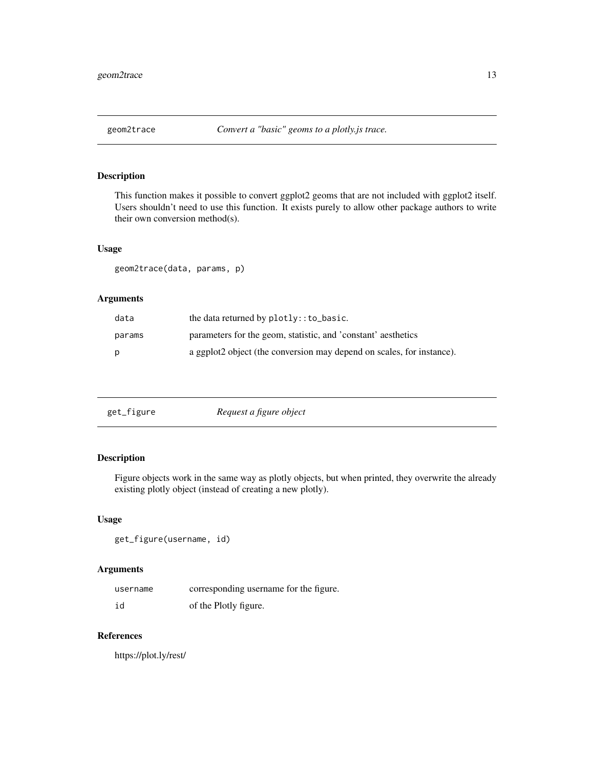<span id="page-12-0"></span>This function makes it possible to convert ggplot2 geoms that are not included with ggplot2 itself. Users shouldn't need to use this function. It exists purely to allow other package authors to write their own conversion method(s).

#### Usage

```
geom2trace(data, params, p)
```
#### Arguments

| data   | the data returned by $plotly$ :: to_basic.                            |
|--------|-----------------------------------------------------------------------|
| params | parameters for the geom, statistic, and 'constant' aesthetics         |
| D      | a ggplot2 object (the conversion may depend on scales, for instance). |

<span id="page-12-1"></span>

| get_figure | Request a figure object |  |
|------------|-------------------------|--|
|------------|-------------------------|--|

# Description

Figure objects work in the same way as plotly objects, but when printed, they overwrite the already existing plotly object (instead of creating a new plotly).

#### Usage

get\_figure(username, id)

#### Arguments

| username | corresponding username for the figure. |
|----------|----------------------------------------|
| id       | of the Plotly figure.                  |

# References

https://plot.ly/rest/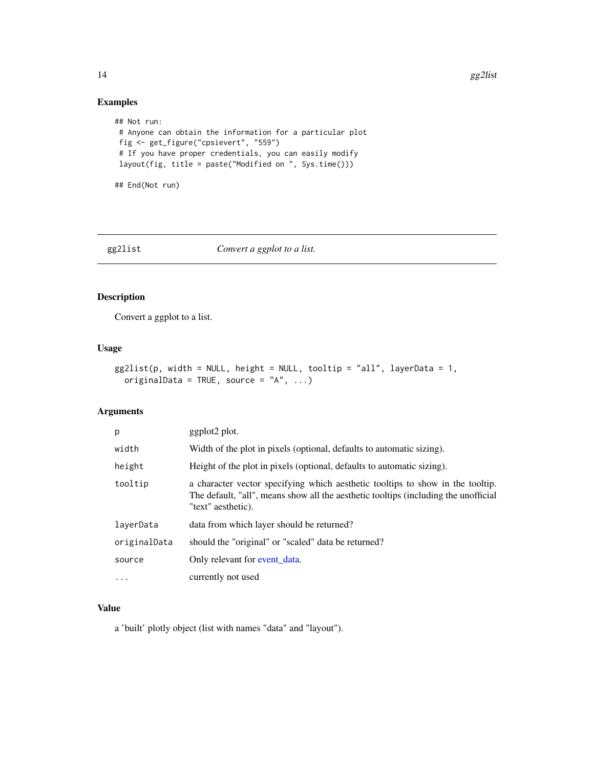# <span id="page-13-0"></span>Examples

```
## Not run:
# Anyone can obtain the information for a particular plot
fig <- get_figure("cpsievert", "559")
# If you have proper credentials, you can easily modify
layout(fig, title = paste("Modified on ", Sys.time()))
```
## End(Not run)

gg2list *Convert a ggplot to a list.*

### Description

Convert a ggplot to a list.

#### Usage

```
gg2list(p, width = NULL, height = NULL, tooltip = "all", layerData = 1,originalData = TRUE, source = 'A'', ...)
```
# Arguments

| p            | ggplot2 plot.                                                                                                                                                                               |
|--------------|---------------------------------------------------------------------------------------------------------------------------------------------------------------------------------------------|
| width        | Width of the plot in pixels (optional, defaults to automatic sizing).                                                                                                                       |
| height       | Height of the plot in pixels (optional, defaults to automatic sizing).                                                                                                                      |
| tooltip      | a character vector specifying which aesthetic tooltips to show in the tooltip.<br>The default, "all", means show all the aesthetic tooltips (including the unofficial<br>"text" aesthetic). |
| layerData    | data from which layer should be returned?                                                                                                                                                   |
| originalData | should the "original" or "scaled" data be returned?                                                                                                                                         |
| source       | Only relevant for event data.                                                                                                                                                               |
| .            | currently not used                                                                                                                                                                          |

# Value

a 'built' plotly object (list with names "data" and "layout").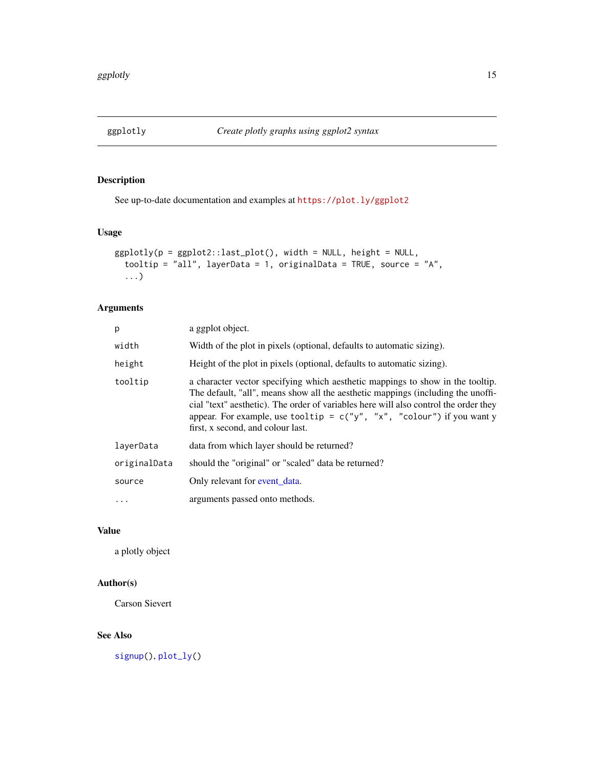<span id="page-14-1"></span><span id="page-14-0"></span>

See up-to-date documentation and examples at <https://plot.ly/ggplot2>

# Usage

```
ggplotly(p = ggplot2::last_plot(), width = NULL, height = NULL,
  tooltip = "all", layerData = 1, originalData = TRUE, source = "A",
  ...)
```
#### Arguments

| p            | a ggplot object.                                                                                                                                                                                                                                                                                                                                                            |
|--------------|-----------------------------------------------------------------------------------------------------------------------------------------------------------------------------------------------------------------------------------------------------------------------------------------------------------------------------------------------------------------------------|
| width        | Width of the plot in pixels (optional, defaults to automatic sizing).                                                                                                                                                                                                                                                                                                       |
| height       | Height of the plot in pixels (optional, defaults to automatic sizing).                                                                                                                                                                                                                                                                                                      |
| tooltip      | a character vector specifying which aesthetic mappings to show in the tooltip.<br>The default, "all", means show all the aesthetic mappings (including the unoffi-<br>cial "text" aesthetic). The order of variables here will also control the order they<br>appear. For example, use tooltip = $c("y", "x", "colour")$ if you want y<br>first, x second, and colour last. |
| laverData    | data from which layer should be returned?                                                                                                                                                                                                                                                                                                                                   |
| originalData | should the "original" or "scaled" data be returned?                                                                                                                                                                                                                                                                                                                         |
| source       | Only relevant for event_data.                                                                                                                                                                                                                                                                                                                                               |
| $\cdots$     | arguments passed onto methods.                                                                                                                                                                                                                                                                                                                                              |

#### Value

a plotly object

# Author(s)

Carson Sievert

#### See Also

[signup\(](#page-31-1)), [plot\\_ly\(](#page-27-1))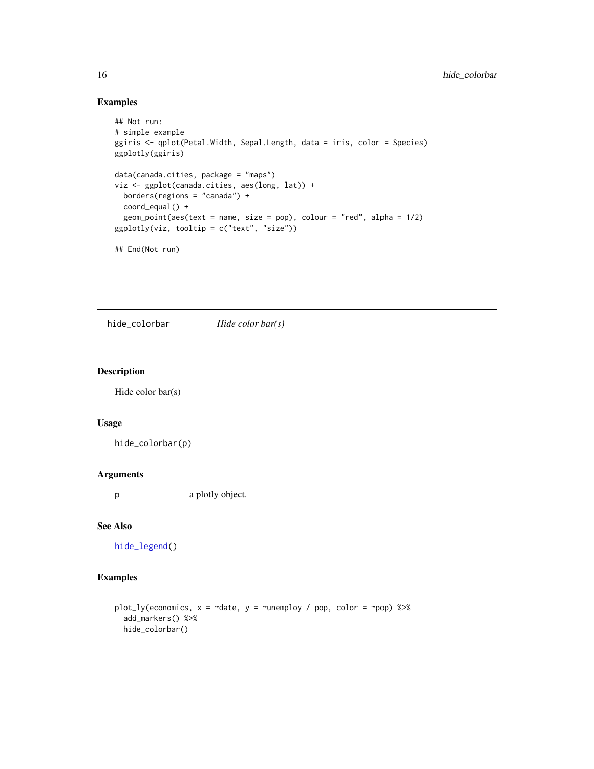# Examples

```
## Not run:
# simple example
ggiris <- qplot(Petal.Width, Sepal.Length, data = iris, color = Species)
ggplotly(ggiris)
data(canada.cities, package = "maps")
viz <- ggplot(canada.cities, aes(long, lat)) +
 borders(regions = "canada") +
  coord_equal() +
  geom\_point(aes(text = name, size = pop), colour = "red", alpha = 1/2)ggplotly(viz, tooltip = c("text", "size"))
## End(Not run)
```
<span id="page-15-1"></span>hide\_colorbar *Hide color bar(s)*

#### Description

Hide color bar(s)

#### Usage

hide\_colorbar(p)

#### Arguments

p a plotly object.

#### See Also

[hide\\_legend\(](#page-16-1))

#### Examples

```
plot_ly(economics, x = ~date, y = ~unemploy / pop, color = ~pop) %>%
  add_markers() %>%
  hide_colorbar()
```
<span id="page-15-0"></span>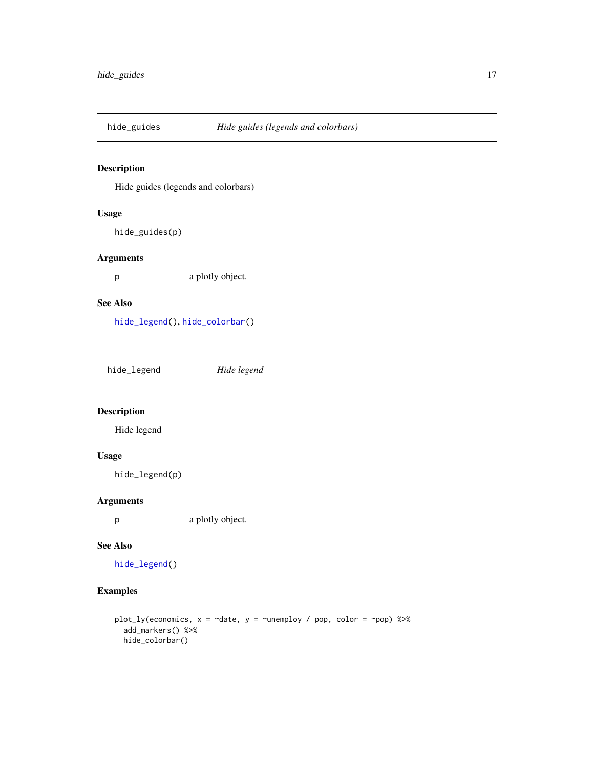<span id="page-16-0"></span>

Hide guides (legends and colorbars)

#### Usage

hide\_guides(p)

#### Arguments

p a plotly object.

#### See Also

[hide\\_legend\(](#page-16-1)), [hide\\_colorbar\(](#page-15-1))

<span id="page-16-1"></span>

| hide_legend | Hide legend |  |  |
|-------------|-------------|--|--|
|-------------|-------------|--|--|

# Description

Hide legend

# Usage

hide\_legend(p)

#### Arguments

p a plotly object.

#### See Also

[hide\\_legend\(](#page-16-1))

#### Examples

```
plot_ly(economics, x = \text{rate}, y = \text{vunempty} / pop, color = ~pop) %>%
  add_markers() %>%
  hide_colorbar()
```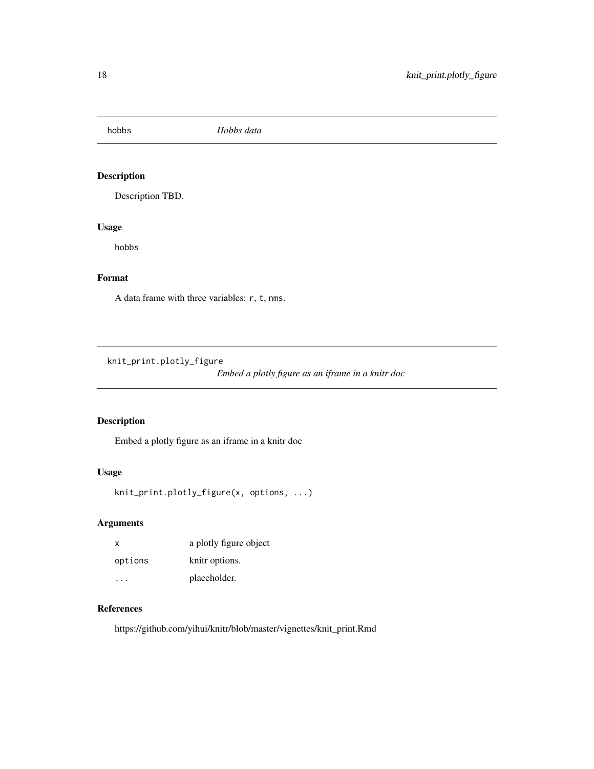<span id="page-17-0"></span>hobbs *Hobbs data*

# Description

Description TBD.

#### Usage

hobbs

# Format

A data frame with three variables: r, t, nms.

knit\_print.plotly\_figure

*Embed a plotly figure as an iframe in a knitr doc*

# Description

Embed a plotly figure as an iframe in a knitr doc

#### Usage

```
knit_print.plotly_figure(x, options, ...)
```
# Arguments

| $\times$ | a plotly figure object |
|----------|------------------------|
| options  | knitr options.         |
|          | placeholder.           |

# References

https://github.com/yihui/knitr/blob/master/vignettes/knit\_print.Rmd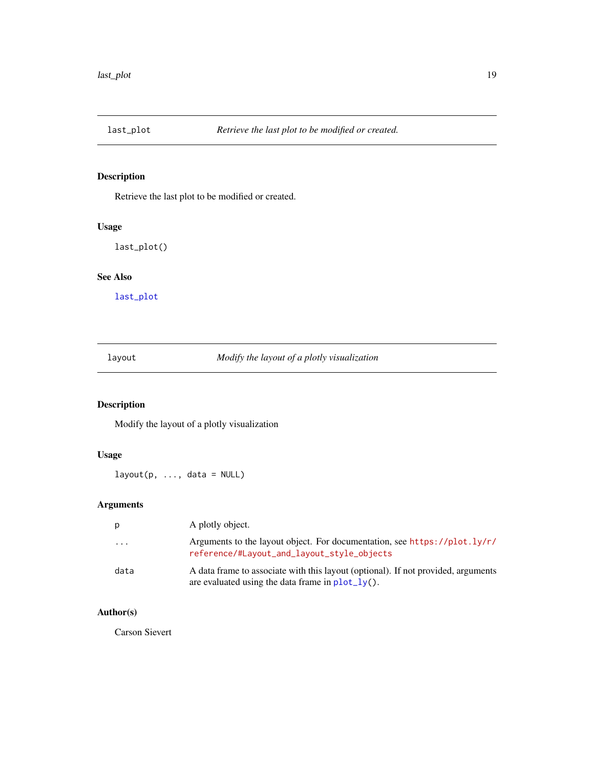<span id="page-18-1"></span><span id="page-18-0"></span>

Retrieve the last plot to be modified or created.

#### Usage

last\_plot()

#### See Also

[last\\_plot](#page-18-1)

<span id="page-18-2"></span>layout *Modify the layout of a plotly visualization*

# Description

Modify the layout of a plotly visualization

# Usage

 $l$ ayout(p, ..., data = NULL)

# Arguments

| p                       | A plotly object.                                                                                                                                  |
|-------------------------|---------------------------------------------------------------------------------------------------------------------------------------------------|
| $\cdot$ $\cdot$ $\cdot$ | Arguments to the layout object. For documentation, see https://plot.ly/r/<br>reference/#Layout_and_layout_style_objects                           |
| data                    | A data frame to associate with this layout (optional). If not provided, arguments<br>are evaluated using the data frame in $plot_l\mathbf{v}()$ . |

# Author(s)

Carson Sievert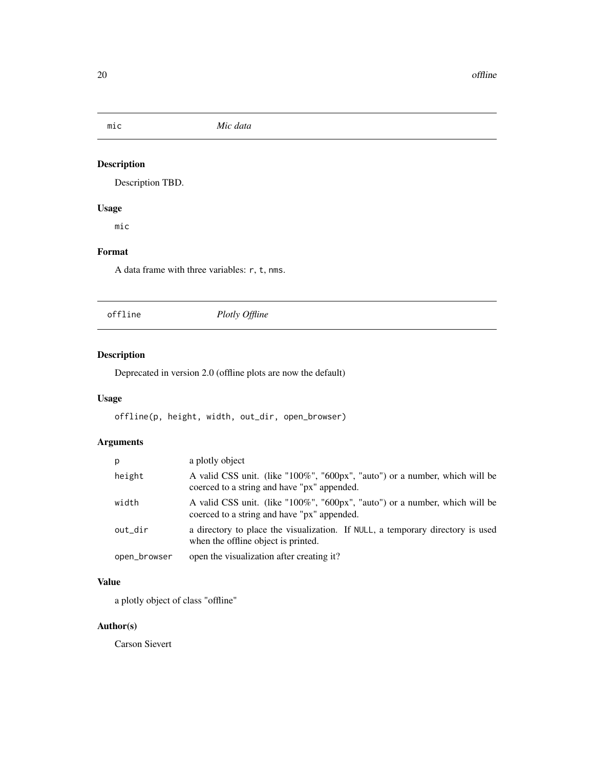<span id="page-19-0"></span>

Description TBD.

# Usage

mic

# Format

A data frame with three variables: r, t, nms.

offline *Plotly Offline*

# Description

Deprecated in version 2.0 (offline plots are now the default)

# Usage

offline(p, height, width, out\_dir, open\_browser)

# Arguments

| р            | a plotly object                                                                                                            |
|--------------|----------------------------------------------------------------------------------------------------------------------------|
| height       | A valid CSS unit. (like "100%", "600px", "auto") or a number, which will be<br>coerced to a string and have "px" appended. |
| width        | A valid CSS unit. (like "100%", "600px", "auto") or a number, which will be<br>coerced to a string and have "px" appended. |
| out_dir      | a directory to place the visualization. If NULL, a temporary directory is used<br>when the offline object is printed.      |
| open_browser | open the visualization after creating it?                                                                                  |

# Value

a plotly object of class "offline"

# Author(s)

Carson Sievert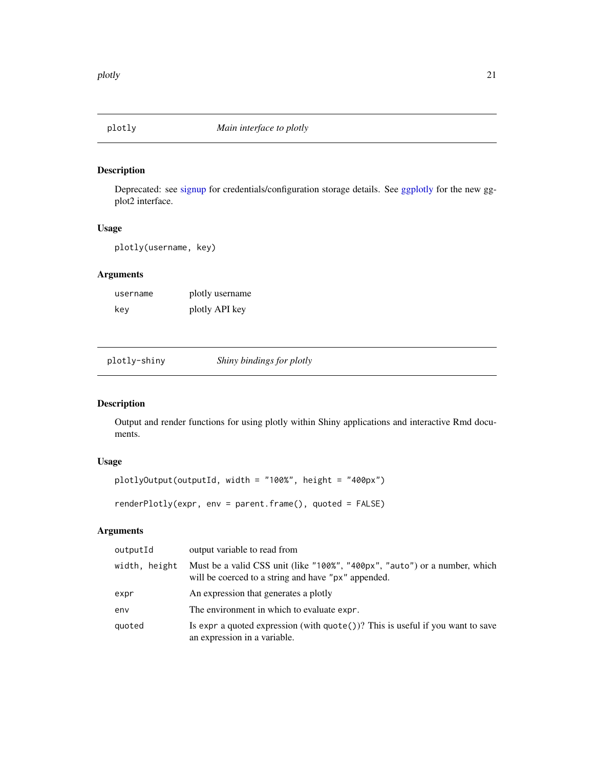<span id="page-20-0"></span>

Deprecated: see [signup](#page-31-1) for credentials/configuration storage details. See [ggplotly](#page-14-1) for the new ggplot2 interface.

#### Usage

```
plotly(username, key)
```
# Arguments

| username | plotly username |
|----------|-----------------|
| key      | plotly API key  |

plotly-shiny *Shiny bindings for plotly*

#### Description

Output and render functions for using plotly within Shiny applications and interactive Rmd documents.

# Usage

```
plotlyOutput(outputId, width = "100%", height = "400px")
```

```
renderPlotly(expr, env = parent.frame(), quoted = FALSE)
```

| outputId      | output variable to read from                                                                                                      |
|---------------|-----------------------------------------------------------------------------------------------------------------------------------|
| width, height | Must be a valid CSS unit (like "100%", "400px", "auto") or a number, which<br>will be coerced to a string and have "px" appended. |
| expr          | An expression that generates a plotly                                                                                             |
| env           | The environment in which to evaluate expr.                                                                                        |
| quoted        | Is expr a quoted expression (with $\text{quote}()$ ? This is useful if you want to save<br>an expression in a variable.           |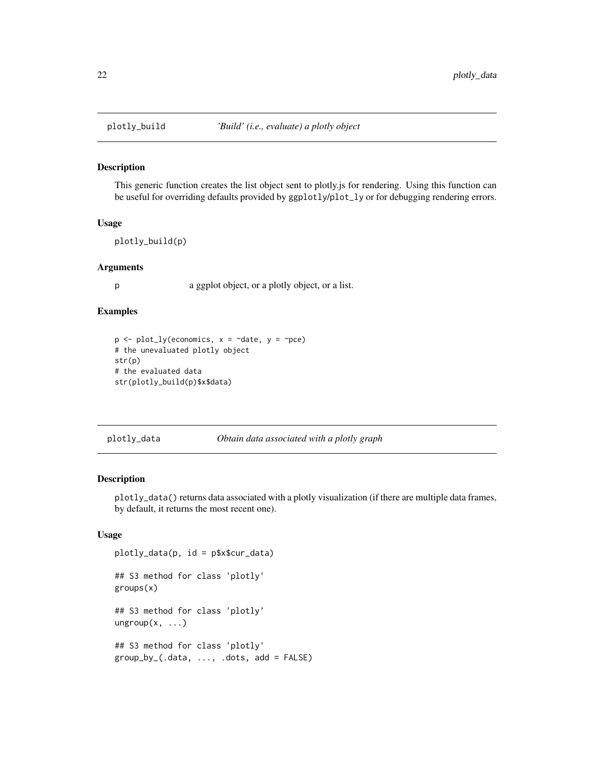This generic function creates the list object sent to plotly.js for rendering. Using this function can be useful for overriding defaults provided by ggplotly/plot\_ly or for debugging rendering errors.

#### Usage

plotly\_build(p)

#### Arguments

p a ggplot object, or a plotly object, or a list.

#### Examples

```
p \leq plot_{1y}(\text{economics}, x = \text{`date}, y = \text{`pce})# the unevaluated plotly object
str(p)
# the evaluated data
str(plotly_build(p)$x$data)
```
#### plotly\_data *Obtain data associated with a plotly graph*

#### Description

plotly\_data() returns data associated with a plotly visualization (if there are multiple data frames, by default, it returns the most recent one).

#### Usage

```
plotly_data(p, id = p$x$cur_data)
## S3 method for class 'plotly'
groups(x)
## S3 method for class 'plotly'
ungroup(x, \ldots)## S3 method for class 'plotly'
group_by_{-}(.data, ..., .dots, add = FALSE)
```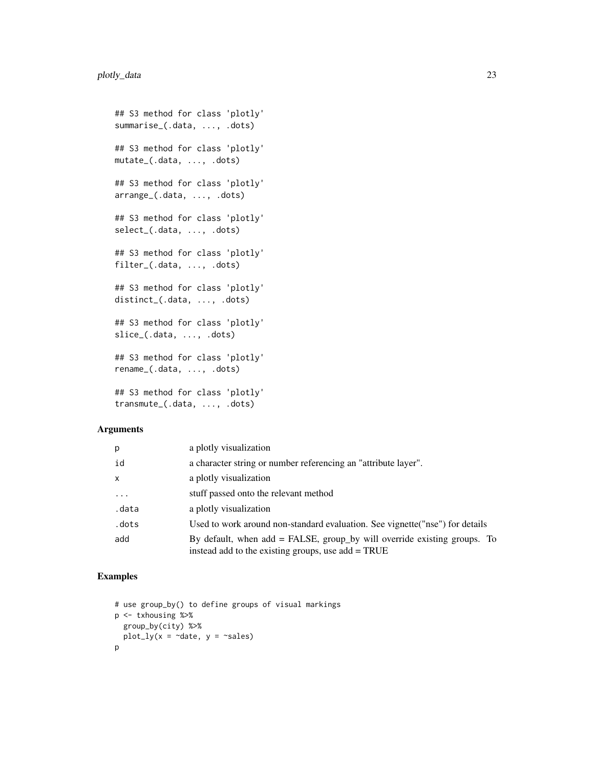```
## S3 method for class 'plotly'
summarise_(.data, ..., .dots)
## S3 method for class 'plotly'
mutate_(.data, ..., .dots)
## S3 method for class 'plotly'
arrange_(.data, ..., .dots)
## S3 method for class 'plotly'
select_(.data, ..., .dots)
## S3 method for class 'plotly'
filter_(.data, ..., .dots)
## S3 method for class 'plotly'
distinct_(.data, ..., .dots)
## S3 method for class 'plotly'
slice_(.data, ..., .dots)
## S3 method for class 'plotly'
rename_(.data, ..., .dots)
## S3 method for class 'plotly'
transmute_(.data, ..., .dots)
```
#### Arguments

| p                       | a plotly visualization                                                                                                            |
|-------------------------|-----------------------------------------------------------------------------------------------------------------------------------|
| id                      | a character string or number referencing an "attribute layer".                                                                    |
| $\mathsf{x}$            | a plotly visualization                                                                                                            |
| $\cdot$ $\cdot$ $\cdot$ | stuff passed onto the relevant method                                                                                             |
| .data                   | a plotly visualization                                                                                                            |
| .dots                   | Used to work around non-standard evaluation. See vignette ("nse") for details                                                     |
| add                     | By default, when $add = FALSE$ , group by will override existing groups. To<br>instead add to the existing groups, use add = TRUE |

# Examples

```
# use group_by() to define groups of visual markings
p <- txhousing %>%
  group_by(city) %>%
  plot_{1}y(x = \text{ }^{\sim}date, y = \text{ }^{\sim}sales)p
```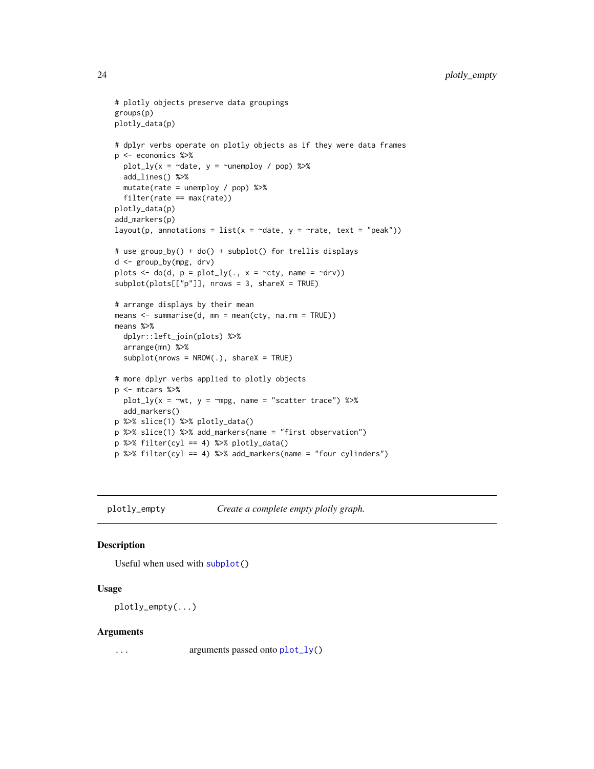```
# plotly objects preserve data groupings
groups(p)
plotly_data(p)
# dplyr verbs operate on plotly objects as if they were data frames
p <- economics %>%
  plot_ly(x = ~date, y = ~unemploy / pop) %>%
  add_lines() %>%
  mutate(rate = unemploy / pop) %filter(rate == max(rate))
plotly_data(p)
add_markers(p)
layout(p, annotations = list(x = \simdate, y = \simrate, text = "peak"))
# use group_by() + do() + subplot() for trellis displays
d <- group_by(mpg, drv)
plots \leq do(d, p = plot_ly(., x = \simcty, name = \simdrv))
subplot(plots[["p"]], nrows = 3, shareX = TRUE)
# arrange displays by their mean
means <- summarise(d, mn = mean(cty, na.rm = TRUE))
means %>%
  dplyr::left_join(plots) %>%
  arrange(mn) %>%
  subplot(nrows = NROW(.), shareX = TRUE)# more dplyr verbs applied to plotly objects
p <- mtcars %>%
 plot_{1}y(x = \text{``wt}, y = \text{``mpg}, name = \text{``scatter trace''}) %>%
  add_markers()
p %>% slice(1) %>% plotly_data()
p %>% slice(1) %>% add_markers(name = "first observation")
p %\gg filter(cyl == 4) %\gg plotly_data()
p %>% filter(cyl == 4) %>% add_markers(name = "four cylinders")
```
plotly\_empty *Create a complete empty plotly graph.*

#### Description

Useful when used with [subplot\(](#page-33-1))

#### Usage

plotly\_empty(...)

#### Arguments

... arguments passed onto [plot\\_ly\(](#page-27-1))

<span id="page-23-0"></span>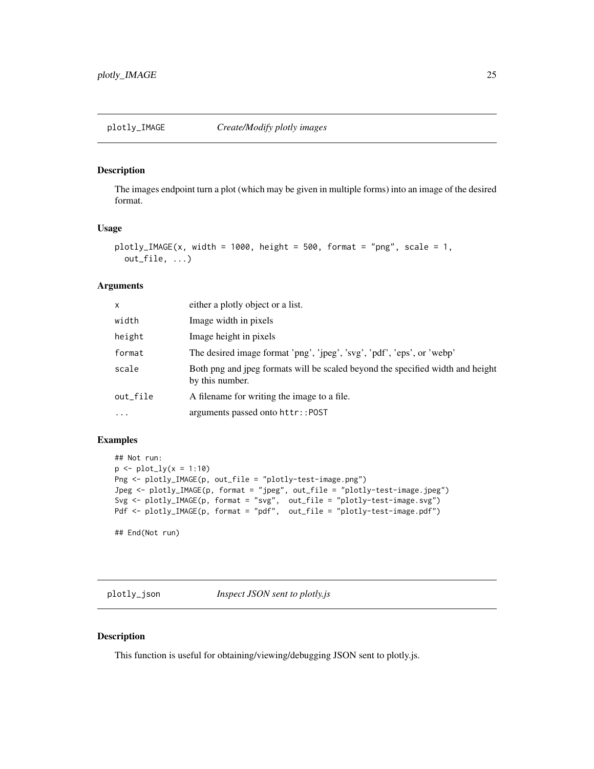<span id="page-24-0"></span>The images endpoint turn a plot (which may be given in multiple forms) into an image of the desired format.

#### Usage

```
plotly_IMAGE(x, width = 1000, height = 500, format = "png", scale = 1,
 out_file, ...)
```
#### Arguments

| X         | either a plotly object or a list.                                                                 |
|-----------|---------------------------------------------------------------------------------------------------|
| width     | Image width in pixels                                                                             |
| height    | Image height in pixels                                                                            |
| format    | The desired image format 'png', 'jpeg', 'svg', 'pdf', 'eps', or 'webp'                            |
| scale     | Both png and jpeg formats will be scaled beyond the specified width and height<br>by this number. |
| out_file  | A filename for writing the image to a file.                                                       |
| $\ddotsc$ | arguments passed onto httr::POST                                                                  |

#### Examples

```
## Not run:
p \leftarrow plot_{1}y(x = 1:10)Png <- plotly_IMAGE(p, out_file = "plotly-test-image.png")
Jpeg <- plotly_IMAGE(p, format = "jpeg", out_file = "plotly-test-image.jpeg")
Svg <- plotly_IMAGE(p, format = "svg", out_file = "plotly-test-image.svg")
Pdf <- plotly_IMAGE(p, format = "pdf", out_file = "plotly-test-image.pdf")
```
## End(Not run)

plotly\_json *Inspect JSON sent to plotly.js*

#### Description

This function is useful for obtaining/viewing/debugging JSON sent to plotly.js.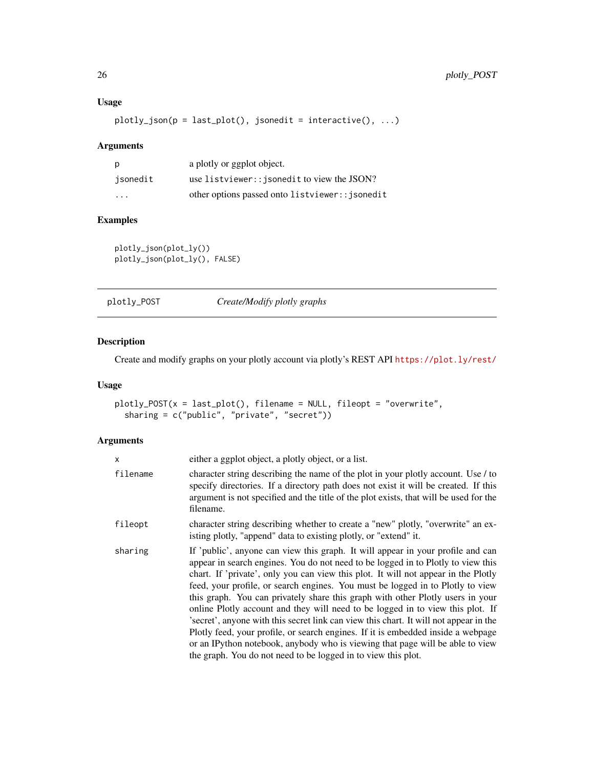# Usage

```
plotly_json(p = last_plot(), jsonedit = interactive(), ...)
```
#### Arguments

| p        | a plotly or ggplot object.                      |
|----------|-------------------------------------------------|
| isonedit | use listviewer:: jsonedit to view the JSON?     |
| .        | other options passed onto listviewer:: isonedit |

# Examples

plotly\_json(plot\_ly()) plotly\_json(plot\_ly(), FALSE)

| plotly_POST | Create/Modify plotly graphs |
|-------------|-----------------------------|
|             |                             |

# Description

Create and modify graphs on your plotly account via plotly's REST API <https://plot.ly/rest/>

#### Usage

```
plotly_POST(x = last_plot(), filename = NULL, fileopt = "overwrite",
 sharing = c("public", "private", "secret"))
```

| x        | either a ggplot object, a plotly object, or a list.                                                                                                                                                                                                                                                                                                                                                                                                                                                                                                                                                                                                                                                                                                                                                                                             |
|----------|-------------------------------------------------------------------------------------------------------------------------------------------------------------------------------------------------------------------------------------------------------------------------------------------------------------------------------------------------------------------------------------------------------------------------------------------------------------------------------------------------------------------------------------------------------------------------------------------------------------------------------------------------------------------------------------------------------------------------------------------------------------------------------------------------------------------------------------------------|
| filename | character string describing the name of the plot in your plotly account. Use / to<br>specify directories. If a directory path does not exist it will be created. If this<br>argument is not specified and the title of the plot exists, that will be used for the<br>filename.                                                                                                                                                                                                                                                                                                                                                                                                                                                                                                                                                                  |
| fileopt  | character string describing whether to create a "new" plotly, "overwrite" an ex-<br>isting plotly, "append" data to existing plotly, or "extend" it.                                                                                                                                                                                                                                                                                                                                                                                                                                                                                                                                                                                                                                                                                            |
| sharing  | If 'public', anyone can view this graph. It will appear in your profile and can<br>appear in search engines. You do not need to be logged in to Plotly to view this<br>chart. If 'private', only you can view this plot. It will not appear in the Plotly<br>feed, your profile, or search engines. You must be logged in to Plotly to view<br>this graph. You can privately share this graph with other Plotly users in your<br>online Plotly account and they will need to be logged in to view this plot. If<br>'s ecret', anyone with this secret link can view this chart. It will not appear in the<br>Plotly feed, your profile, or search engines. If it is embedded inside a webpage<br>or an IPython notebook, anybody who is viewing that page will be able to view<br>the graph. You do not need to be logged in to view this plot. |

<span id="page-25-0"></span>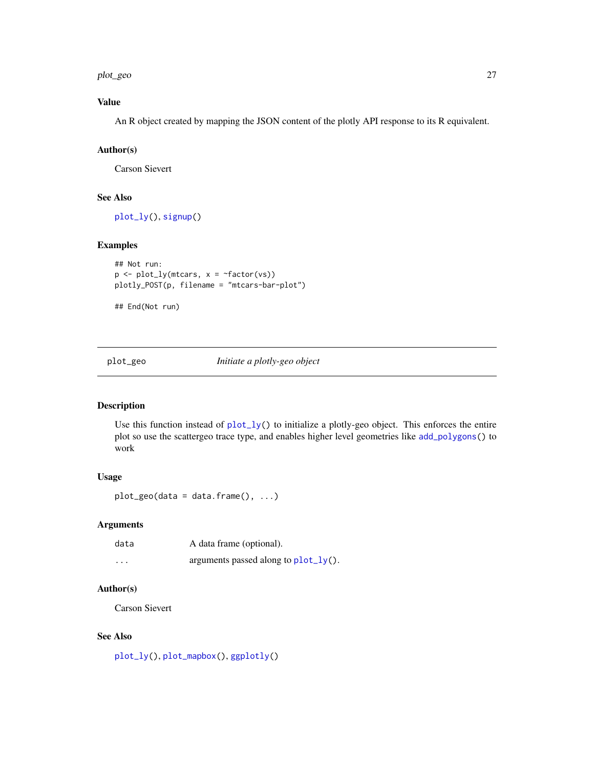<span id="page-26-0"></span>plot\_geo 27

#### Value

An R object created by mapping the JSON content of the plotly API response to its R equivalent.

#### Author(s)

Carson Sievert

#### See Also

[plot\\_ly\(](#page-27-1)), [signup\(](#page-31-1))

#### Examples

```
## Not run:
p \leftarrow plot_{ly}(mtcars, x = \text{``factor}(vs))plotly_POST(p, filename = "mtcars-bar-plot")
```
## End(Not run)

#### <span id="page-26-1"></span>plot\_geo *Initiate a plotly-geo object*

#### Description

Use this function instead of  $plot_{1}y()$  to initialize a plotly-geo object. This enforces the entire plot so use the scattergeo trace type, and enables higher level geometries like [add\\_polygons\(](#page-4-1)) to work

#### Usage

 $plot\_geo(data = data-frame(), ...)$ 

#### Arguments

| data     | A data frame (optional).             |
|----------|--------------------------------------|
| $\cdots$ | arguments passed along to plot_ly(). |

#### Author(s)

Carson Sievert

#### See Also

[plot\\_ly\(](#page-27-1)), [plot\\_mapbox\(](#page-29-1)), [ggplotly\(](#page-14-1))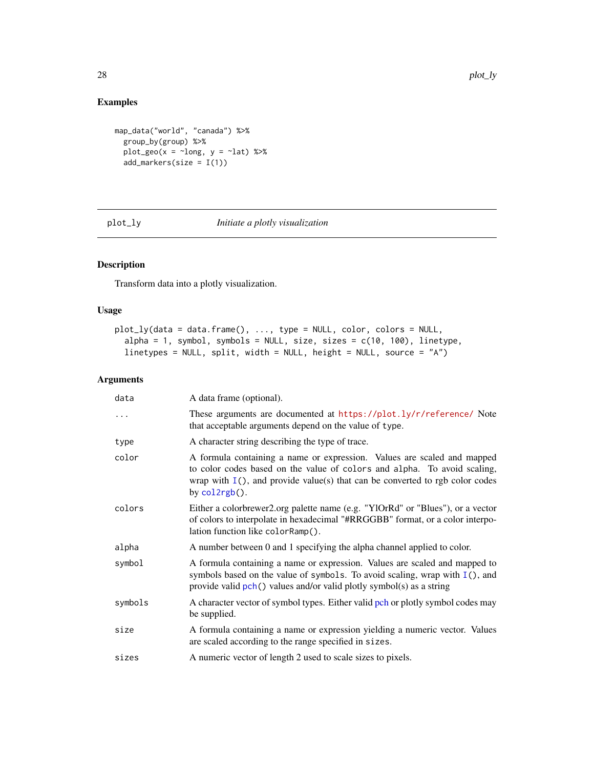# Examples

```
map_data("world", "canada") %>%
  group_by(group) %>%
  plot\_geo(x = ~long, y = ~last) %>%
  add_markers(size = I(1))
```
<span id="page-27-1"></span>plot\_ly *Initiate a plotly visualization*

# Description

Transform data into a plotly visualization.

#### Usage

```
plot_ly(data = data.frame(), ..., type = NULL, color, colors = NULL,
  alpha = 1, symbol, symbols = NULL, size, sizes = c(10, 100), linetype,
 linetypes = NULL, split, width = NULL, height = NULL, source = "A")
```

| data     | A data frame (optional).                                                                                                                                                                                                                                |
|----------|---------------------------------------------------------------------------------------------------------------------------------------------------------------------------------------------------------------------------------------------------------|
| $\cdots$ | These arguments are documented at https://plot.ly/r/reference/ Note<br>that acceptable arguments depend on the value of type.                                                                                                                           |
| type     | A character string describing the type of trace.                                                                                                                                                                                                        |
| color    | A formula containing a name or expression. Values are scaled and mapped<br>to color codes based on the value of colors and alpha. To avoid scaling,<br>wrap with $I()$ , and provide value(s) that can be converted to rgb color codes<br>by col2rgb(). |
| colors   | Either a colorbrewer2.org palette name (e.g. "YlOrRd" or "Blues"), or a vector<br>of colors to interpolate in hexadecimal "#RRGGBB" format, or a color interpo-<br>lation function like colorRamp().                                                    |
| alpha    | A number between 0 and 1 specifying the alpha channel applied to color.                                                                                                                                                                                 |
| symbol   | A formula containing a name or expression. Values are scaled and mapped to<br>symbols based on the value of symbols. To avoid scaling, wrap with $I()$ , and<br>provide valid $pch()$ values and/or valid plotly symbol(s) as a string                  |
| symbols  | A character vector of symbol types. Either valid pch or plotly symbol codes may<br>be supplied.                                                                                                                                                         |
| size     | A formula containing a name or expression yielding a numeric vector. Values<br>are scaled according to the range specified in sizes.                                                                                                                    |
| sizes    | A numeric vector of length 2 used to scale sizes to pixels.                                                                                                                                                                                             |

<span id="page-27-0"></span>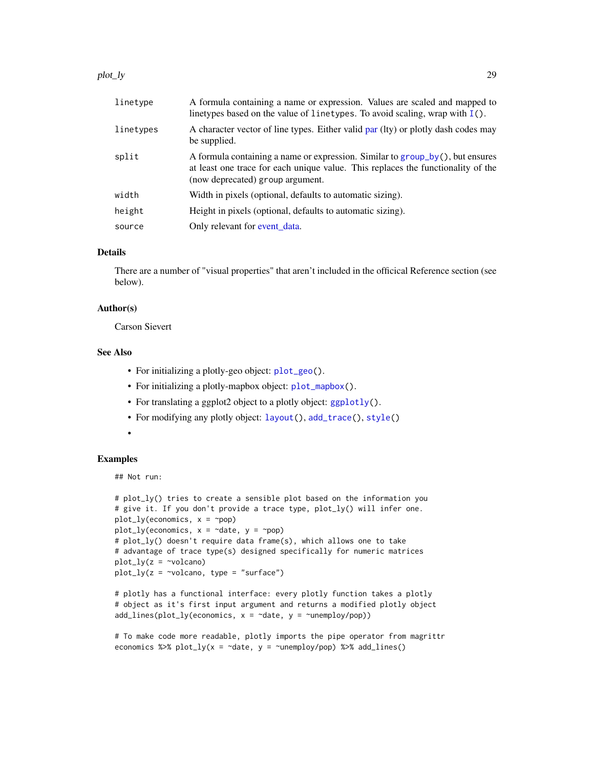#### <span id="page-28-0"></span>plot\_ly 29

| linetype  | A formula containing a name or expression. Values are scaled and mapped to<br>linetypes based on the value of linetypes. To avoid scaling, wrap with $I()$ .                                          |
|-----------|-------------------------------------------------------------------------------------------------------------------------------------------------------------------------------------------------------|
| linetypes | A character vector of line types. Either valid par (lty) or plotly dash codes may<br>be supplied.                                                                                                     |
| split     | A formula containing a name or expression. Similar to group_by(), but ensures<br>at least one trace for each unique value. This replaces the functionality of the<br>(now deprecated) group argument. |
| width     | Width in pixels (optional, defaults to automatic sizing).                                                                                                                                             |
| height    | Height in pixels (optional, defaults to automatic sizing).                                                                                                                                            |
| source    | Only relevant for event data.                                                                                                                                                                         |

#### Details

There are a number of "visual properties" that aren't included in the officical Reference section (see below).

#### Author(s)

Carson Sievert

#### See Also

- For initializing a plotly-geo object: [plot\\_geo\(](#page-26-1)).
- For initializing a plotly-mapbox object: [plot\\_mapbox\(](#page-29-1)).
- For translating a ggplot2 object to a plotly object: [ggplotly\(](#page-14-1)).
- For modifying any plotly object: [layout\(](#page-18-2)), [add\\_trace\(](#page-4-2)), [style\(](#page-32-1))
- •

#### Examples

## Not run:

```
# plot_ly() tries to create a sensible plot based on the information you
# give it. If you don't provide a trace type, plot_ly() will infer one.
plot_{ly}(economics, x = \text{pop})plot_ly(economics, x = ~date, y = ~pop)
# plot_ly() doesn't require data frame(s), which allows one to take
# advantage of trace type(s) designed specifically for numeric matrices
plot_{ly}(z = \simvolcano)
plot_{ly}(z = \simvolcano, type = "surface")
```

```
# plotly has a functional interface: every plotly function takes a plotly
# object as it's first input argument and returns a modified plotly object
add\_lines(plot\_ly(economics, x = \neg date, y = \neg unemploy/pop))
```

```
# To make code more readable, plotly imports the pipe operator from magrittr
economics %>% plot_ly(x = \simdate, y = \simunemploy/pop) %>% add_lines()
```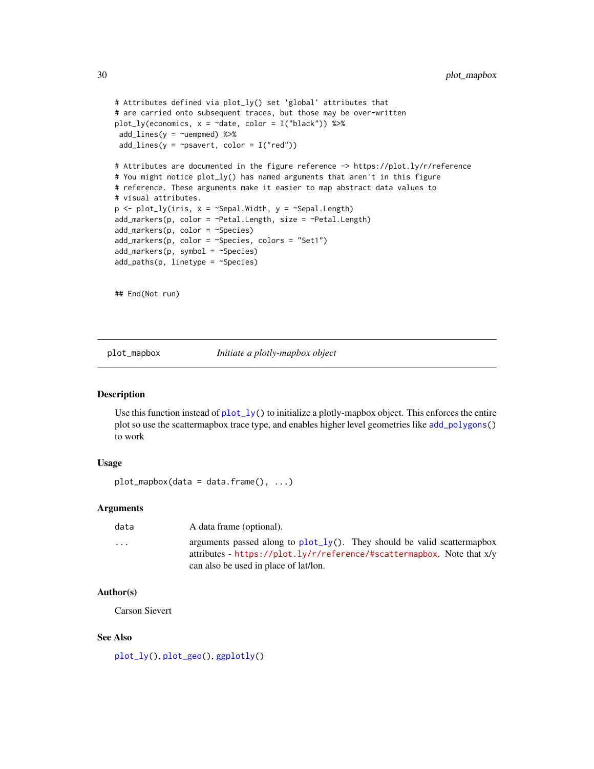```
# Attributes defined via plot_ly() set 'global' attributes that
# are carried onto subsequent traces, but those may be over-written
plot_ly(economics, x = ~date, color = I("black")) %>%
add\_lines(y = \text{``uempmed)} %>%
add\_lines(y = \gammapsavert, color = I("red"))
# Attributes are documented in the figure reference -> https://plot.ly/r/reference
# You might notice plot_ly() has named arguments that aren't in this figure
# reference. These arguments make it easier to map abstract data values to
# visual attributes.
p \leftarrow plot_{ly}(iris, x = \neg Sepal.Width, y = \neg Sepal.length)add_markers(p, color = ~Petal.Length, size = ~Petal.Length)
add_markers(p, color = ~Species)
add_markers(p, color = ~Species, colors = "Set1")
add_markers(p, symbol = ~Species)
add\_paths(p, linetype = ~<sup>5</sup>species)
```
## End(Not run)

<span id="page-29-1"></span>plot\_mapbox *Initiate a plotly-mapbox object*

#### Description

Use this function instead of  $plot_l(y)$  to initialize a plotly-mapbox object. This enforces the entire plot so use the scattermapbox trace type, and enables higher level geometries like [add\\_polygons\(](#page-4-1)) to work

#### Usage

```
plot_mapbox(data = data-frame(), ...)
```
#### Arguments

| data                    | A data frame (optional).                                                                                                                               |
|-------------------------|--------------------------------------------------------------------------------------------------------------------------------------------------------|
| $\cdot$ $\cdot$ $\cdot$ | arguments passed along to $plot_{1}y()$ . They should be valid scattermapbox<br>attributes - https://plot.ly/r/reference/#scattermapbox. Note that x/y |
|                         | can also be used in place of lat/lon.                                                                                                                  |

#### Author(s)

Carson Sievert

#### See Also

[plot\\_ly\(](#page-27-1)), [plot\\_geo\(](#page-26-1)), [ggplotly\(](#page-14-1))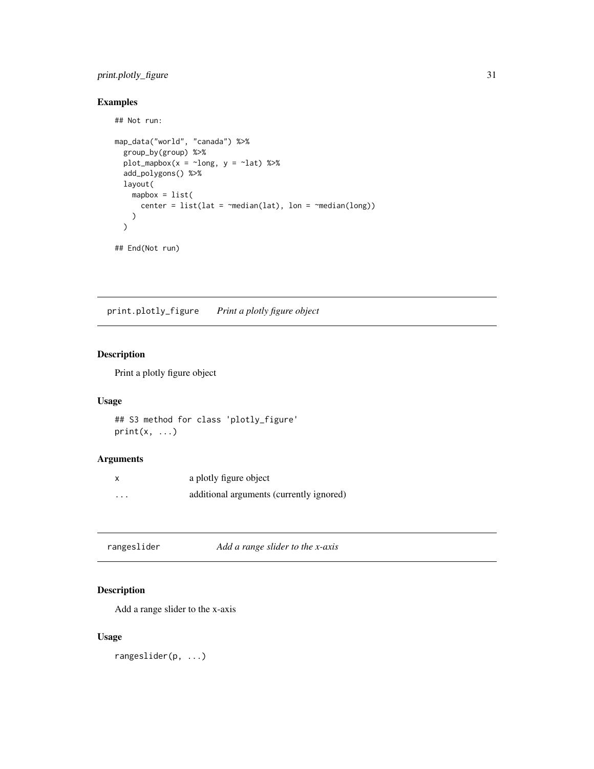# <span id="page-30-0"></span>print.plotly\_figure 31

# Examples

## Not run:

```
map_data("world", "canada") %>%
  group_by(group) %>%
  plot_mapbox(x = \simlong, y = \simlat) %>%
  add_polygons() %>%
  layout(
    mapbox = list(center = list(lat = \text{median}(lat), lon = \text{median}(long)))
  \mathcal{L}## End(Not run)
```
print.plotly\_figure *Print a plotly figure object*

#### Description

Print a plotly figure object

#### Usage

```
## S3 method for class 'plotly_figure'
print(x, \ldots)
```
#### Arguments

| X | a plotly figure object                   |
|---|------------------------------------------|
| . | additional arguments (currently ignored) |

| rangeslider | Add a range slider to the x-axis |  |
|-------------|----------------------------------|--|
|-------------|----------------------------------|--|

# Description

Add a range slider to the x-axis

#### Usage

rangeslider(p, ...)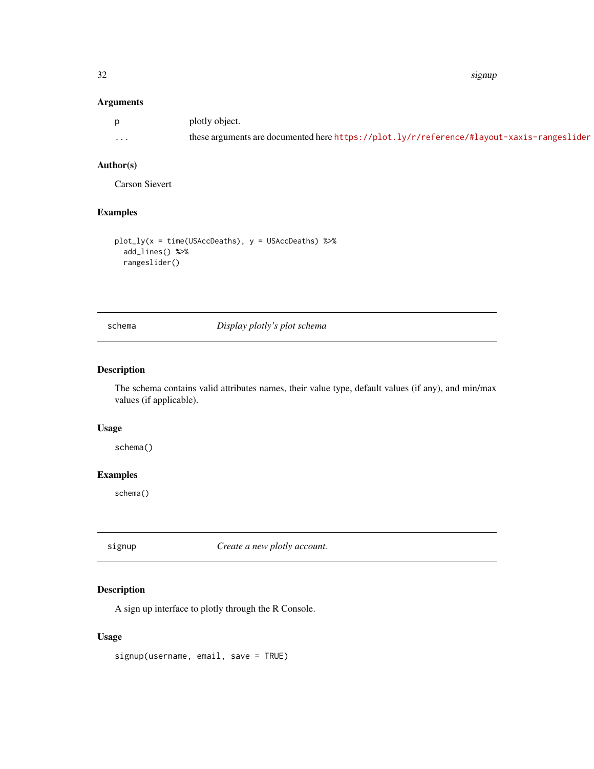#### <span id="page-31-0"></span>32 signup

# Arguments

|          | plotly object.                                                                            |
|----------|-------------------------------------------------------------------------------------------|
| $\cdots$ | these arguments are documented here https://plot.ly/r/reference/#layout-xaxis-rangeslider |

### Author(s)

Carson Sievert

#### Examples

```
plot_{1}y(x = time(USAccDeaths), y = USAccDeaths) %>%
  add_lines() %>%
  rangeslider()
```
schema *Display plotly's plot schema*

# Description

The schema contains valid attributes names, their value type, default values (if any), and min/max values (if applicable).

#### Usage

schema()

# Examples

schema()

<span id="page-31-1"></span>signup *Create a new plotly account.*

#### Description

A sign up interface to plotly through the R Console.

#### Usage

signup(username, email, save = TRUE)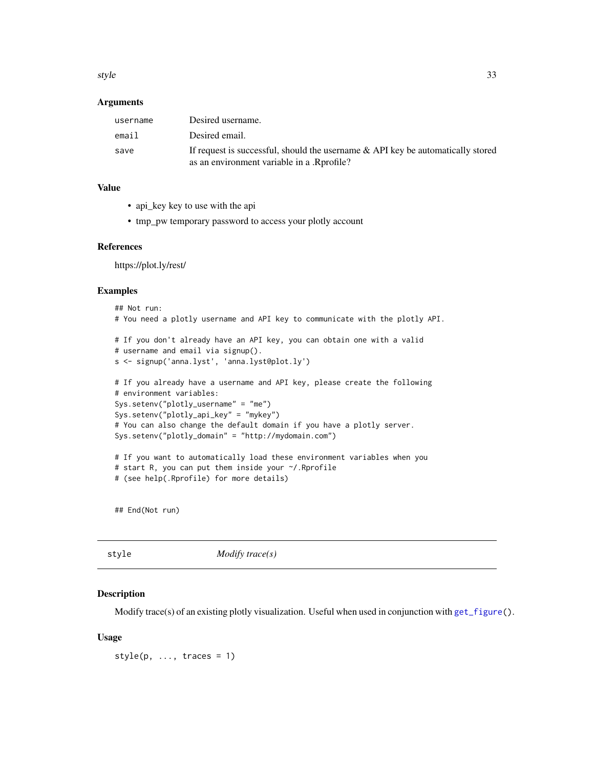<span id="page-32-0"></span>style 33

#### Arguments

| username | Desired username.                                                                                                             |
|----------|-------------------------------------------------------------------------------------------------------------------------------|
| email    | Desired email.                                                                                                                |
| save     | If request is successful, should the username & API key be automatically stored<br>as an environment variable in a .Rprofile? |

# Value

- api\_key key to use with the api
- tmp\_pw temporary password to access your plotly account

#### References

https://plot.ly/rest/

#### Examples

```
## Not run:
# You need a plotly username and API key to communicate with the plotly API.
# If you don't already have an API key, you can obtain one with a valid
# username and email via signup().
s <- signup('anna.lyst', 'anna.lyst@plot.ly')
# If you already have a username and API key, please create the following
# environment variables:
Sys.setenv("plotly_username" = "me")
Sys.setenv("plotly_api_key" = "mykey")
# You can also change the default domain if you have a plotly server.
Sys.setenv("plotly_domain" = "http://mydomain.com")
# If you want to automatically load these environment variables when you
# start R, you can put them inside your ~/.Rprofile
# (see help(.Rprofile) for more details)
```
## End(Not run)

<span id="page-32-1"></span>style *Modify trace(s)*

#### Description

Modify trace(s) of an existing plotly visualization. Useful when used in conjunction with [get\\_figure\(](#page-12-1)).

#### Usage

 $style(p, ..., traces = 1)$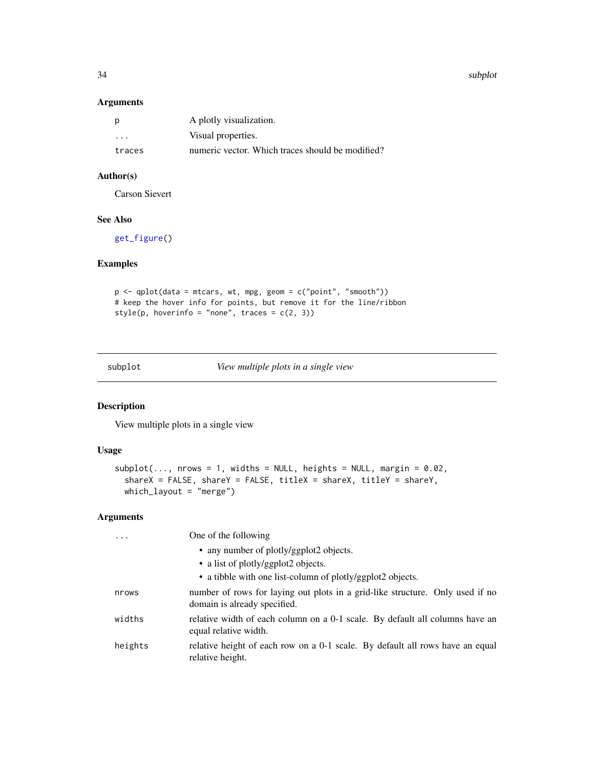34 subplot

#### Arguments

| p      | A plotly visualization.                          |
|--------|--------------------------------------------------|
| .      | Visual properties.                               |
| traces | numeric vector. Which traces should be modified? |

# Author(s)

Carson Sievert

# See Also

[get\\_figure\(](#page-12-1))

# Examples

```
p <- qplot(data = mtcars, wt, mpg, geom = c("point", "smooth"))
# keep the hover info for points, but remove it for the line/ribbon
style(p, hoverinfo = "none", traces = c(2, 3))
```
<span id="page-33-1"></span>subplot *View multiple plots in a single view*

# Description

View multiple plots in a single view

#### Usage

```
subplot(..., nrows = 1, widths = NULL, heights = NULL, margin = 0.02,shareX = FALSE, shareY = FALSE, titleX = shareX, titleY = shareY,
 which_layout = "merge")
```

| $\ddots$ | One of the following                                                                                          |
|----------|---------------------------------------------------------------------------------------------------------------|
|          | • any number of plotly/ggplot2 objects.                                                                       |
|          | • a list of plotly/ggplot2 objects.                                                                           |
|          | • a tibble with one list-column of plotly/ggplot2 objects.                                                    |
| nrows    | number of rows for laying out plots in a grid-like structure. Only used if no<br>domain is already specified. |
| widths   | relative width of each column on a 0-1 scale. By default all columns have an<br>equal relative width.         |
| heights  | relative height of each row on a 0-1 scale. By default all rows have an equal<br>relative height.             |

<span id="page-33-0"></span>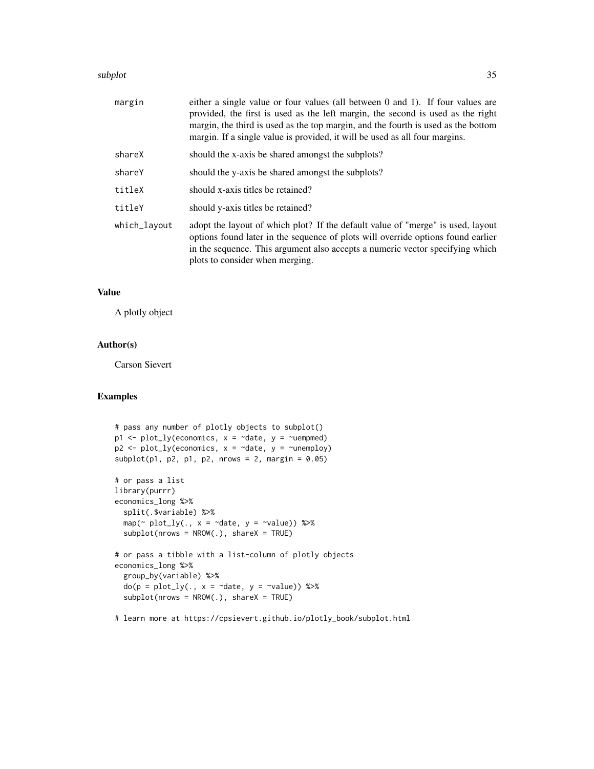#### subplot 35

| margin       | either a single value or four values (all between 0 and 1). If four values are<br>provided, the first is used as the left margin, the second is used as the right<br>margin, the third is used as the top margin, and the fourth is used as the bottom<br>margin. If a single value is provided, it will be used as all four margins. |
|--------------|---------------------------------------------------------------------------------------------------------------------------------------------------------------------------------------------------------------------------------------------------------------------------------------------------------------------------------------|
| shareX       | should the x-axis be shared amongst the subplots?                                                                                                                                                                                                                                                                                     |
| shareY       | should the y-axis be shared amongst the subplots?                                                                                                                                                                                                                                                                                     |
| titleX       | should x-axis titles be retained?                                                                                                                                                                                                                                                                                                     |
| titleY       | should y-axis titles be retained?                                                                                                                                                                                                                                                                                                     |
| which_layout | adopt the layout of which plot? If the default value of "merge" is used, layout<br>options found later in the sequence of plots will override options found earlier<br>in the sequence. This argument also accepts a numeric vector specifying which<br>plots to consider when merging.                                               |

#### Value

A plotly object

#### Author(s)

Carson Sievert

#### Examples

```
# pass any number of plotly objects to subplot()
p1 \leq p1 p1 \leq p1 (economics, x = \text{`date}, y = \text{`uempmed})p2 \leq plot_{ly}(economics, x = \neg date, y = \neg unemploy)subplot(p1, p2, p1, p2, nrows = 2, margin = 0.05)
# or pass a list
library(purrr)
economics_long %>%
  split(.$variable) %>%
  map(\sim plot\_ly(., x = \sim date, y = \sim value)) %>%
  subplot(nrows = NROW(.), shareX = TRUE)# or pass a tibble with a list-column of plotly objects
economics_long %>%
  group_by(variable) %>%
  do(p = plot_{ly}(., x = \text{ 'date}, y = \text{ 'value})) %>%
  subplot(nrows = NROW(.), shareX = TRUE)
```
# learn more at https://cpsievert.github.io/plotly\_book/subplot.html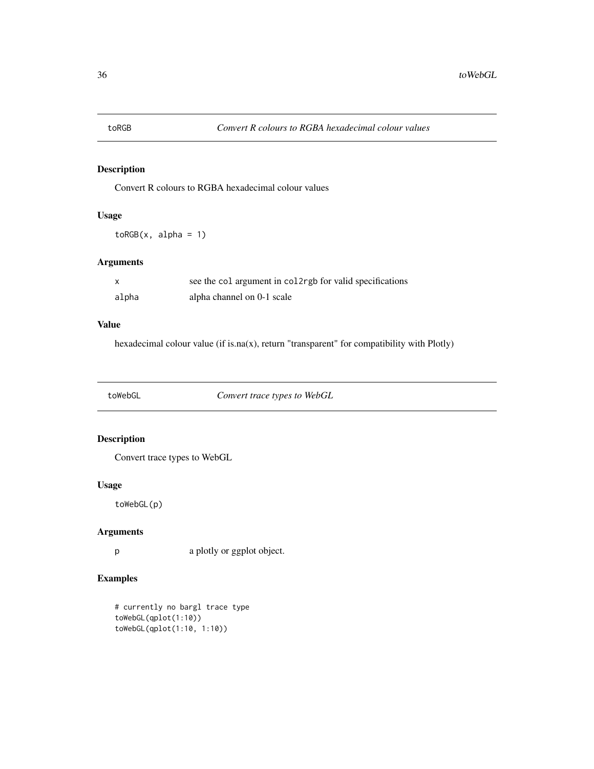<span id="page-35-0"></span>

Convert R colours to RGBA hexadecimal colour values

#### Usage

 $toRGB(x, alpha = 1)$ 

#### Arguments

|       | see the col argument in college for valid specifications |
|-------|----------------------------------------------------------|
| alpha | alpha channel on 0-1 scale                               |

#### Value

hexadecimal colour value (if is.na(x), return "transparent" for compatibility with Plotly)

toWebGL *Convert trace types to WebGL*

# Description

Convert trace types to WebGL

#### Usage

toWebGL(p)

#### Arguments

p a plotly or ggplot object.

#### Examples

# currently no bargl trace type toWebGL(qplot(1:10)) toWebGL(qplot(1:10, 1:10))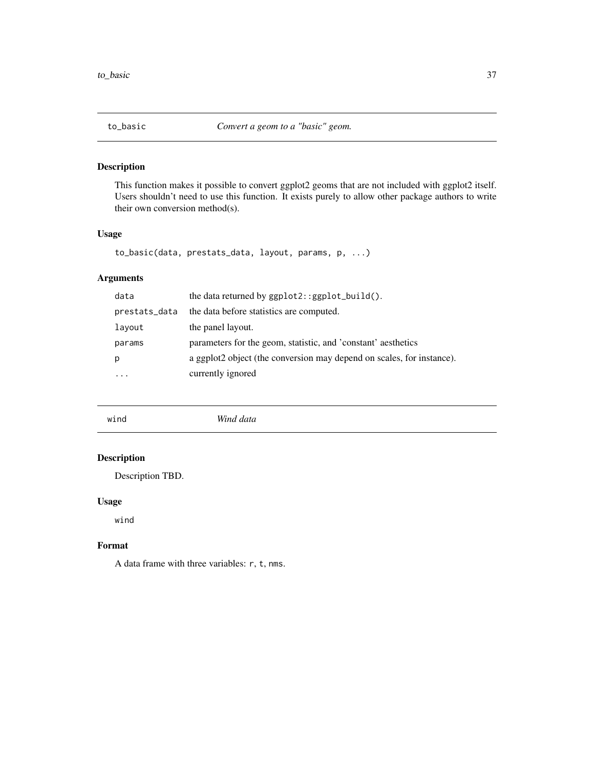<span id="page-36-0"></span>

This function makes it possible to convert ggplot2 geoms that are not included with ggplot2 itself. Users shouldn't need to use this function. It exists purely to allow other package authors to write their own conversion method(s).

#### Usage

```
to_basic(data, prestats_data, layout, params, p, ...)
```
#### Arguments

| the data returned by $ggplot2::ggplot_buid()$ .                       |
|-----------------------------------------------------------------------|
| the data before statistics are computed.                              |
| the panel layout.                                                     |
| parameters for the geom, statistic, and 'constant' aesthetics         |
| a ggplot2 object (the conversion may depend on scales, for instance). |
| currently ignored                                                     |
|                                                                       |

| $\cdot$ $\cdot$ | Win |
|-----------------|-----|
| wind            | uuu |
|                 |     |

# Description

Description TBD.

#### Usage

wind

#### Format

A data frame with three variables: r, t, nms.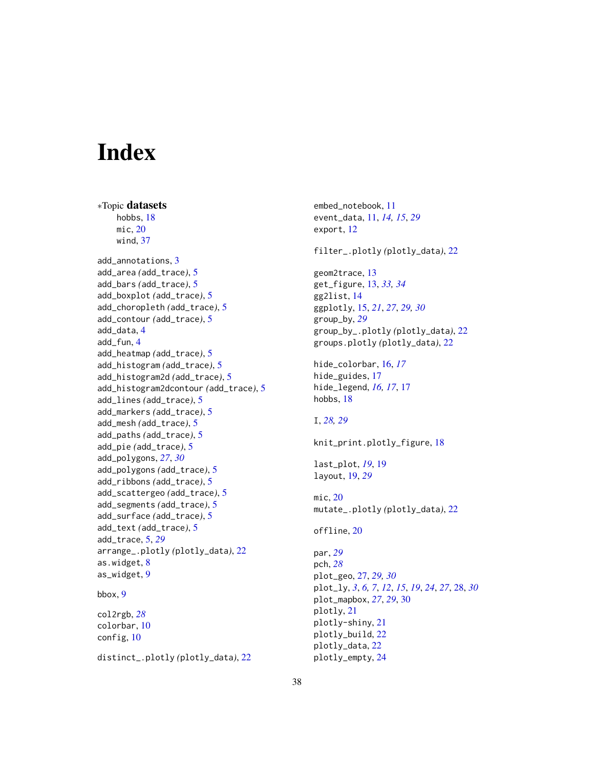# <span id="page-37-0"></span>**Index**

∗Topic datasets hobbs, [18](#page-17-0) mic, [20](#page-19-0) wind, [37](#page-36-0) add\_annotations, [3](#page-2-0) add\_area *(*add\_trace*)*, [5](#page-4-0) add\_bars *(*add\_trace*)*, [5](#page-4-0) add\_boxplot *(*add\_trace*)*, [5](#page-4-0) add\_choropleth *(*add\_trace*)*, [5](#page-4-0) add\_contour *(*add\_trace*)*, [5](#page-4-0) add\_data, [4](#page-3-0) add\_fun, [4](#page-3-0) add\_heatmap *(*add\_trace*)*, [5](#page-4-0) add\_histogram *(*add\_trace*)*, [5](#page-4-0) add\_histogram2d *(*add\_trace*)*, [5](#page-4-0) add\_histogram2dcontour *(*add\_trace*)*, [5](#page-4-0) add\_lines *(*add\_trace*)*, [5](#page-4-0) add\_markers *(*add\_trace*)*, [5](#page-4-0) add\_mesh *(*add\_trace*)*, [5](#page-4-0) add\_paths *(*add\_trace*)*, [5](#page-4-0) add\_pie *(*add\_trace*)*, [5](#page-4-0) add\_polygons, *[27](#page-26-0)*, *[30](#page-29-0)* add\_polygons *(*add\_trace*)*, [5](#page-4-0) add\_ribbons *(*add\_trace*)*, [5](#page-4-0) add\_scattergeo *(*add\_trace*)*, [5](#page-4-0) add\_segments *(*add\_trace*)*, [5](#page-4-0) add\_surface *(*add\_trace*)*, [5](#page-4-0) add\_text *(*add\_trace*)*, [5](#page-4-0) add\_trace, [5,](#page-4-0) *[29](#page-28-0)* arrange\_.plotly *(*plotly\_data*)*, [22](#page-21-0) as.widget, [8](#page-7-0) as\_widget, [9](#page-8-0) bbox, [9](#page-8-0) col2rgb, *[28](#page-27-0)* colorbar, [10](#page-9-0) config, [10](#page-9-0)

distinct\_.plotly *(*plotly\_data*)*, [22](#page-21-0)

embed\_notebook, [11](#page-10-0) event\_data, [11,](#page-10-0) *[14,](#page-13-0) [15](#page-14-0)*, *[29](#page-28-0)* export, [12](#page-11-0) filter\_.plotly *(*plotly\_data*)*, [22](#page-21-0) geom2trace, [13](#page-12-0) get\_figure, [13,](#page-12-0) *[33,](#page-32-0) [34](#page-33-0)* gg2list, [14](#page-13-0) ggplotly, [15,](#page-14-0) *[21](#page-20-0)*, *[27](#page-26-0)*, *[29,](#page-28-0) [30](#page-29-0)* group\_by, *[29](#page-28-0)* group\_by\_.plotly *(*plotly\_data*)*, [22](#page-21-0) groups.plotly *(*plotly\_data*)*, [22](#page-21-0) hide\_colorbar, [16,](#page-15-0) *[17](#page-16-0)* hide\_guides, [17](#page-16-0) hide\_legend, *[16,](#page-15-0) [17](#page-16-0)*, [17](#page-16-0) hobbs, [18](#page-17-0) I, *[28,](#page-27-0) [29](#page-28-0)* knit\_print.plotly\_figure, [18](#page-17-0) last\_plot, *[19](#page-18-0)*, [19](#page-18-0) layout, [19,](#page-18-0) *[29](#page-28-0)* mic, [20](#page-19-0) mutate\_.plotly *(*plotly\_data*)*, [22](#page-21-0) offline, [20](#page-19-0) par, *[29](#page-28-0)* pch, *[28](#page-27-0)* plot\_geo, [27,](#page-26-0) *[29,](#page-28-0) [30](#page-29-0)* plot\_ly, *[3](#page-2-0)*, *[6,](#page-5-0) [7](#page-6-0)*, *[12](#page-11-0)*, *[15](#page-14-0)*, *[19](#page-18-0)*, *[24](#page-23-0)*, *[27](#page-26-0)*, [28,](#page-27-0) *[30](#page-29-0)* plot\_mapbox, *[27](#page-26-0)*, *[29](#page-28-0)*, [30](#page-29-0) plotly, [21](#page-20-0) plotly-shiny, [21](#page-20-0) plotly\_build, [22](#page-21-0) plotly\_data, [22](#page-21-0) plotly\_empty, [24](#page-23-0)